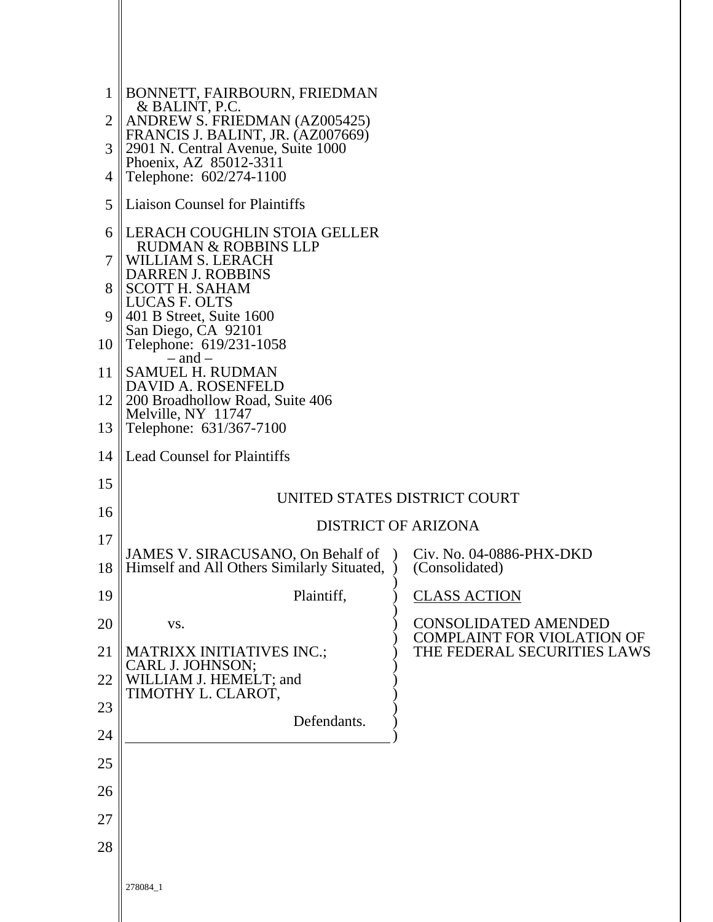| 1              | BONNETT, FAIRBOURN, FRIEDMAN<br>& BALINT, P.C.                     |                                                                  |  |
|----------------|--------------------------------------------------------------------|------------------------------------------------------------------|--|
| $\overline{2}$ | ANDREW S. FRIEDMAN (AZ005425)<br>FRANCIS J. BALINT, JR. (AZ007669) |                                                                  |  |
| 3              | 2901 N. Central Avenue, Suite 1000<br>Phoenix, AZ 85012-3311       |                                                                  |  |
| 4<br>5         | Telephone: 602/274-1100<br><b>Liaison Counsel for Plaintiffs</b>   |                                                                  |  |
|                |                                                                    |                                                                  |  |
| 6              | LERACH COUGHLIN STOIA GELLER<br><b>RUDMAN &amp; ROBBINS LLP</b>    |                                                                  |  |
| 7              | WILLIAM S. LERACH<br>DARREN J. ROBBINS                             |                                                                  |  |
| 8              | <b>SCOTT H. SAHAM</b><br>LUCAS F. OLTS                             |                                                                  |  |
| 9              | 401 B Street, Suite 1600<br>San Diego, CA 92101                    |                                                                  |  |
| 10             | Telephone: 619/231-1058<br>$-$ and $-$                             |                                                                  |  |
| 11             | SAMUEL H. RUDMAN<br>DAVID A. ROSENFELD                             |                                                                  |  |
| 12             | 200 Broadhollow Road, Suite 406<br>Melville, NY 11747              |                                                                  |  |
| 13             | Telephone: 631/367-7100                                            |                                                                  |  |
| 14             | <b>Lead Counsel for Plaintiffs</b>                                 |                                                                  |  |
| 15             |                                                                    | UNITED STATES DISTRICT COURT                                     |  |
| 16             |                                                                    | <b>DISTRICT OF ARIZONA</b>                                       |  |
| 17             | JAMES V. SIRACUSANO, On Behalf of                                  | Civ. No. 04-0886-PHX-DKD                                         |  |
| 18             | Himself and All Others Similarly Situated,                         | (Consolidated)                                                   |  |
| 19             | Plaintiff,                                                         | <b>CLASS ACTION</b>                                              |  |
| 20             | VS.                                                                | <b>CONSOLIDATED AMENDED</b><br><b>COMPLAINT FOR VIOLATION OF</b> |  |
| 21             | MATRIXX INITIATIVES INC.;<br>CARL J. JOHNSON;                      | THE FEDERAL SECURITIES LAWS                                      |  |
| 22             | WILLIAM J. HEMELT; and<br>TIMOTHY L. CLAROT,                       |                                                                  |  |
| 23             | Defendants.                                                        |                                                                  |  |
| 24             |                                                                    |                                                                  |  |
| 25             |                                                                    |                                                                  |  |
| 26             |                                                                    |                                                                  |  |
| 27             |                                                                    |                                                                  |  |
| 28             |                                                                    |                                                                  |  |
|                | 278084_1                                                           |                                                                  |  |
|                |                                                                    |                                                                  |  |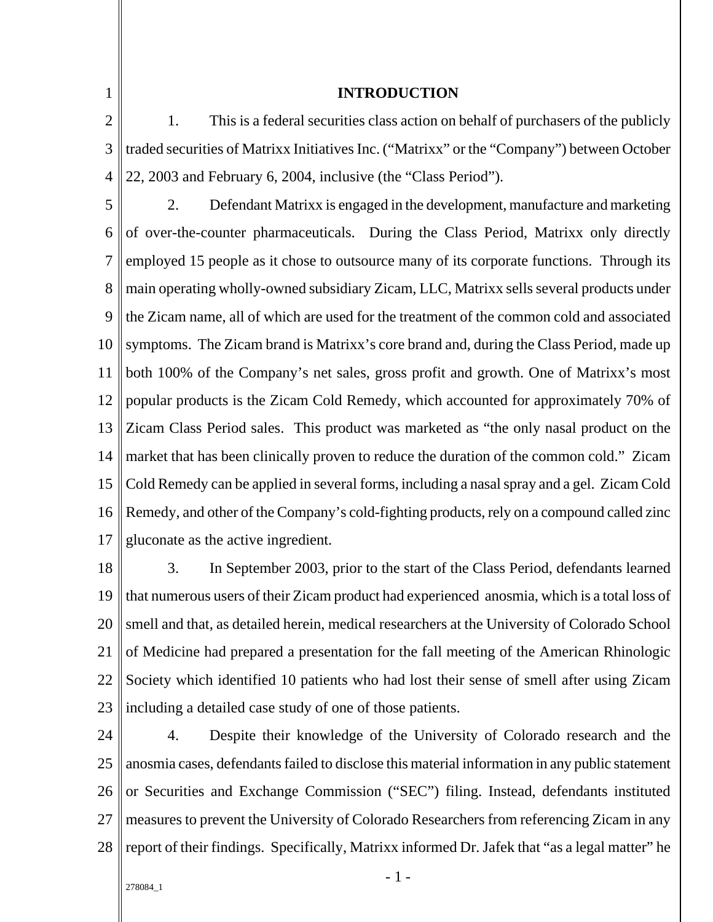1

### **INTRODUCTION**

2 3 4 1. This is a federal securities class action on behalf of purchasers of the publicly traded securities of Matrixx Initiatives Inc. ("Matrixx" or the "Company") between October 22, 2003 and February 6, 2004, inclusive (the "Class Period").

5 6 7 8  $\mathbf Q$ 10 11 12 13 14 15 16 17 2. Defendant Matrixx is engaged in the development, manufacture and marketing of over-the-counter pharmaceuticals. During the Class Period, Matrixx only directly employed 15 people as it chose to outsource many of its corporate functions. Through its main operating wholly-owned subsidiary Zicam, LLC, Matrixx sells several products under the Zicam name, all of which are used for the treatment of the common cold and associated symptoms. The Zicam brand is Matrixx's core brand and, during the Class Period, made up both 100% of the Company's net sales, gross profit and growth. One of Matrixx's most popular products is the Zicam Cold Remedy, which accounted for approximately 70% of Zicam Class Period sales. This product was marketed as "the only nasal product on the market that has been clinically proven to reduce the duration of the common cold." Zicam Cold Remedy can be applied in several forms, including a nasal spray and a gel. Zicam Cold Remedy, and other of the Company's cold-fighting products, rely on a compound called zinc gluconate as the active ingredient.

18 19 20 21 22 23 3. In September 2003, prior to the start of the Class Period, defendants learned that numerous users of their Zicam product had experienced anosmia, which is a total loss of smell and that, as detailed herein, medical researchers at the University of Colorado School of Medicine had prepared a presentation for the fall meeting of the American Rhinologic Society which identified 10 patients who had lost their sense of smell after using Zicam including a detailed case study of one of those patients.

24 25 26 27 28 4. Despite their knowledge of the University of Colorado research and the anosmia cases, defendants failed to disclose this material information in any public statement or Securities and Exchange Commission ("SEC") filing. Instead, defendants instituted measures to prevent the University of Colorado Researchers from referencing Zicam in any report of their findings. Specifically, Matrixx informed Dr. Jafek that "as a legal matter" he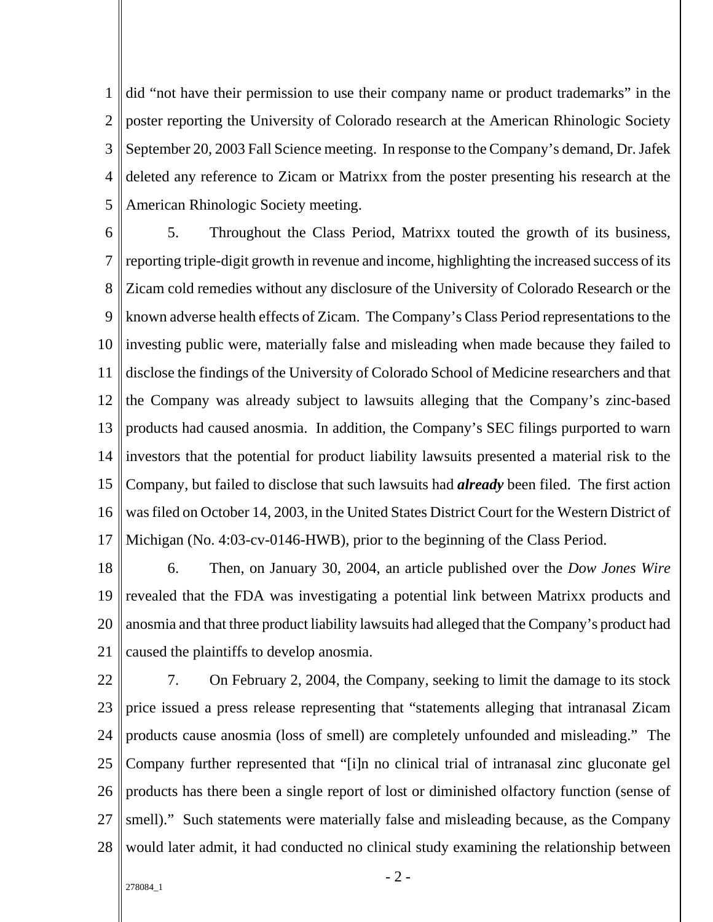1 2 3 4 5 did "not have their permission to use their company name or product trademarks" in the poster reporting the University of Colorado research at the American Rhinologic Society September 20, 2003 Fall Science meeting. In response to the Company's demand, Dr. Jafek deleted any reference to Zicam or Matrixx from the poster presenting his research at the American Rhinologic Society meeting.

6 7 8  $\mathbf Q$ 10 11 12 13 14 15 16 17 5. Throughout the Class Period, Matrixx touted the growth of its business, reporting triple-digit growth in revenue and income, highlighting the increased success of its Zicam cold remedies without any disclosure of the University of Colorado Research or the known adverse health effects of Zicam. The Company's Class Period representations to the investing public were, materially false and misleading when made because they failed to disclose the findings of the University of Colorado School of Medicine researchers and that the Company was already subject to lawsuits alleging that the Company's zinc-based products had caused anosmia. In addition, the Company's SEC filings purported to warn investors that the potential for product liability lawsuits presented a material risk to the Company, but failed to disclose that such lawsuits had *already* been filed. The first action was filed on October 14, 2003, in the United States District Court for the Western District of Michigan (No. 4:03-cv-0146-HWB), prior to the beginning of the Class Period.

18 19 20 21 6. Then, on January 30, 2004, an article published over the *Dow Jones Wire* revealed that the FDA was investigating a potential link between Matrixx products and anosmia and that three product liability lawsuits had alleged that the Company's product had caused the plaintiffs to develop anosmia.

22 23 24 25 26 27 28 7. On February 2, 2004, the Company, seeking to limit the damage to its stock price issued a press release representing that "statements alleging that intranasal Zicam products cause anosmia (loss of smell) are completely unfounded and misleading." The Company further represented that "[i]n no clinical trial of intranasal zinc gluconate gel products has there been a single report of lost or diminished olfactory function (sense of smell)." Such statements were materially false and misleading because, as the Company would later admit, it had conducted no clinical study examining the relationship between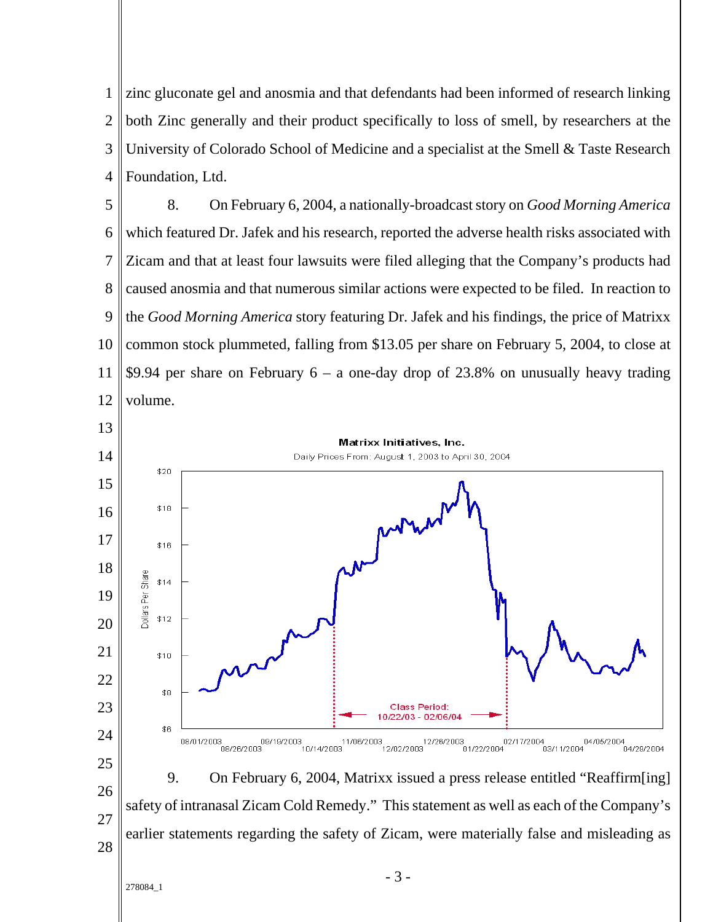zinc gluconate gel and anosmia and that defendants had been informed of research linking both Zinc generally and their product specifically to loss of smell, by researchers at the University of Colorado School of Medicine and a specialist at the Smell & Taste Research Foundation, Ltd.

 8. On February 6, 2004, a nationally-broadcast story on *Good Morning America* which featured Dr. Jafek and his research, reported the adverse health risks associated with Zicam and that at least four lawsuits were filed alleging that the Company's products had caused anosmia and that numerous similar actions were expected to be filed. In reaction to the *Good Morning America* story featuring Dr. Jafek and his findings, the price of Matrixx common stock plummeted, falling from \$13.05 per share on February 5, 2004, to close at \$9.94 per share on February  $6 - a$  one-day drop of 23.8% on unusually heavy trading volume.

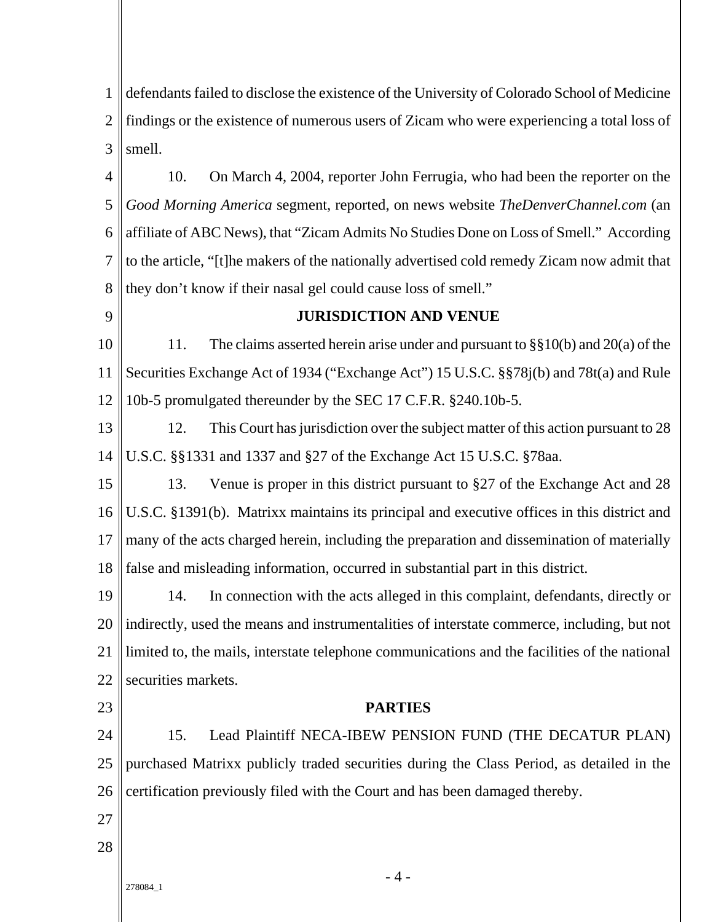1 2 3 defendants failed to disclose the existence of the University of Colorado School of Medicine findings or the existence of numerous users of Zicam who were experiencing a total loss of smell.

4 5 6 7 8 10. On March 4, 2004, reporter John Ferrugia, who had been the reporter on the *Good Morning America* segment, reported, on news website *TheDenverChannel.com* (an affiliate of ABC News), that "Zicam Admits No Studies Done on Loss of Smell." According to the article, "[t]he makers of the nationally advertised cold remedy Zicam now admit that they don't know if their nasal gel could cause loss of smell."

 $\overline{Q}$ 

# **JURISDICTION AND VENUE**

10 11 12 11. The claims asserted herein arise under and pursuant to §§10(b) and 20(a) of the Securities Exchange Act of 1934 ("Exchange Act") 15 U.S.C. §§78j(b) and 78t(a) and Rule 10b-5 promulgated thereunder by the SEC 17 C.F.R. §240.10b-5.

13 14 12. This Court has jurisdiction over the subject matter of this action pursuant to 28 U.S.C. §§1331 and 1337 and §27 of the Exchange Act 15 U.S.C. §78aa.

15 16 17 18 13. Venue is proper in this district pursuant to §27 of the Exchange Act and 28 U.S.C. §1391(b). Matrixx maintains its principal and executive offices in this district and many of the acts charged herein, including the preparation and dissemination of materially false and misleading information, occurred in substantial part in this district.

19 20 21 22 14. In connection with the acts alleged in this complaint, defendants, directly or indirectly, used the means and instrumentalities of interstate commerce, including, but not limited to, the mails, interstate telephone communications and the facilities of the national securities markets.

23

### **PARTIES**

24 25 26 15. Lead Plaintiff NECA-IBEW PENSION FUND (THE DECATUR PLAN) purchased Matrixx publicly traded securities during the Class Period, as detailed in the certification previously filed with the Court and has been damaged thereby.

- 27 28
	-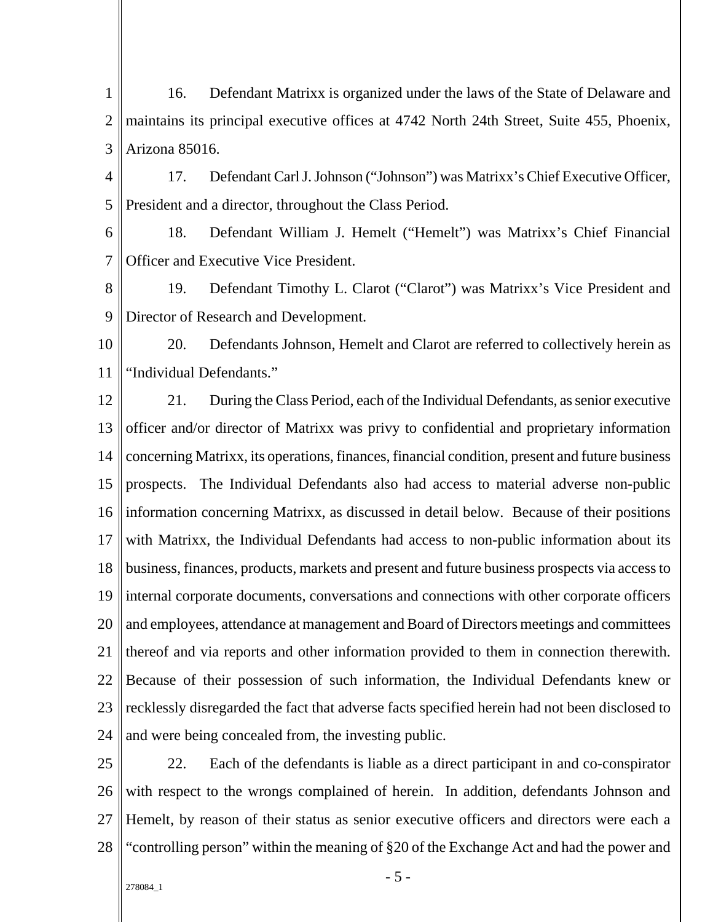- 1 2 3 16. Defendant Matrixx is organized under the laws of the State of Delaware and maintains its principal executive offices at 4742 North 24th Street, Suite 455, Phoenix, Arizona 85016.
- 4 5 17. Defendant Carl J. Johnson ("Johnson") was Matrixx's Chief Executive Officer, President and a director, throughout the Class Period.
- 6 7 18. Defendant William J. Hemelt ("Hemelt") was Matrixx's Chief Financial Officer and Executive Vice President.
- 8 9 19. Defendant Timothy L. Clarot ("Clarot") was Matrixx's Vice President and Director of Research and Development.
- 10 11 20. Defendants Johnson, Hemelt and Clarot are referred to collectively herein as "Individual Defendants."
- 12 13 14 15 16 17 18 19 20 21 22 23 24 21. During the Class Period, each of the Individual Defendants, as senior executive officer and/or director of Matrixx was privy to confidential and proprietary information concerning Matrixx, its operations, finances, financial condition, present and future business prospects. The Individual Defendants also had access to material adverse non-public information concerning Matrixx, as discussed in detail below. Because of their positions with Matrixx, the Individual Defendants had access to non-public information about its business, finances, products, markets and present and future business prospects via access to internal corporate documents, conversations and connections with other corporate officers and employees, attendance at management and Board of Directors meetings and committees thereof and via reports and other information provided to them in connection therewith. Because of their possession of such information, the Individual Defendants knew or recklessly disregarded the fact that adverse facts specified herein had not been disclosed to and were being concealed from, the investing public.
- 25 26 27 28 22. Each of the defendants is liable as a direct participant in and co-conspirator with respect to the wrongs complained of herein. In addition, defendants Johnson and Hemelt, by reason of their status as senior executive officers and directors were each a "controlling person" within the meaning of §20 of the Exchange Act and had the power and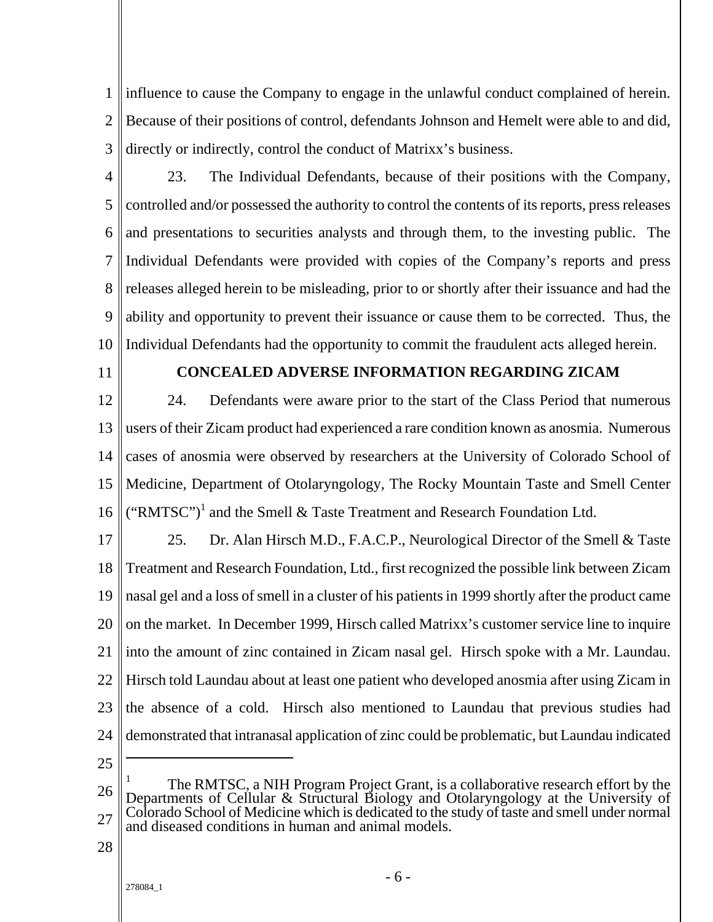1 2 3 influence to cause the Company to engage in the unlawful conduct complained of herein. Because of their positions of control, defendants Johnson and Hemelt were able to and did, directly or indirectly, control the conduct of Matrixx's business.

- 4 5 6 7 8 9 10 23. The Individual Defendants, because of their positions with the Company, controlled and/or possessed the authority to control the contents of its reports, press releases and presentations to securities analysts and through them, to the investing public. The Individual Defendants were provided with copies of the Company's reports and press releases alleged herein to be misleading, prior to or shortly after their issuance and had the ability and opportunity to prevent their issuance or cause them to be corrected. Thus, the Individual Defendants had the opportunity to commit the fraudulent acts alleged herein.
- 11

# **CONCEALED ADVERSE INFORMATION REGARDING ZICAM**

12 13 14 15 16 24. Defendants were aware prior to the start of the Class Period that numerous users of their Zicam product had experienced a rare condition known as anosmia. Numerous cases of anosmia were observed by researchers at the University of Colorado School of Medicine, Department of Otolaryngology, The Rocky Mountain Taste and Smell Center ("RMTSC")<sup>1</sup> and the Smell & Taste Treatment and Research Foundation Ltd.

17 18 19 20 21 22 23 24 25. Dr. Alan Hirsch M.D., F.A.C.P., Neurological Director of the Smell & Taste Treatment and Research Foundation, Ltd., first recognized the possible link between Zicam nasal gel and a loss of smell in a cluster of his patients in 1999 shortly after the product came on the market. In December 1999, Hirsch called Matrixx's customer service line to inquire into the amount of zinc contained in Zicam nasal gel. Hirsch spoke with a Mr. Laundau. Hirsch told Laundau about at least one patient who developed anosmia after using Zicam in the absence of a cold. Hirsch also mentioned to Laundau that previous studies had demonstrated that intranasal application of zinc could be problematic, but Laundau indicated  $\overline{a}$ 

- 25
- 26 27 1 The RMTSC, a NIH Program Project Grant, is a collaborative research effort by the Departments of Cellular & Structural Biology and Otolaryngology at the University of Colorado School of Medicine which is dedicated to the study of taste and smell under normal and diseased conditions in human and animal models.
- 28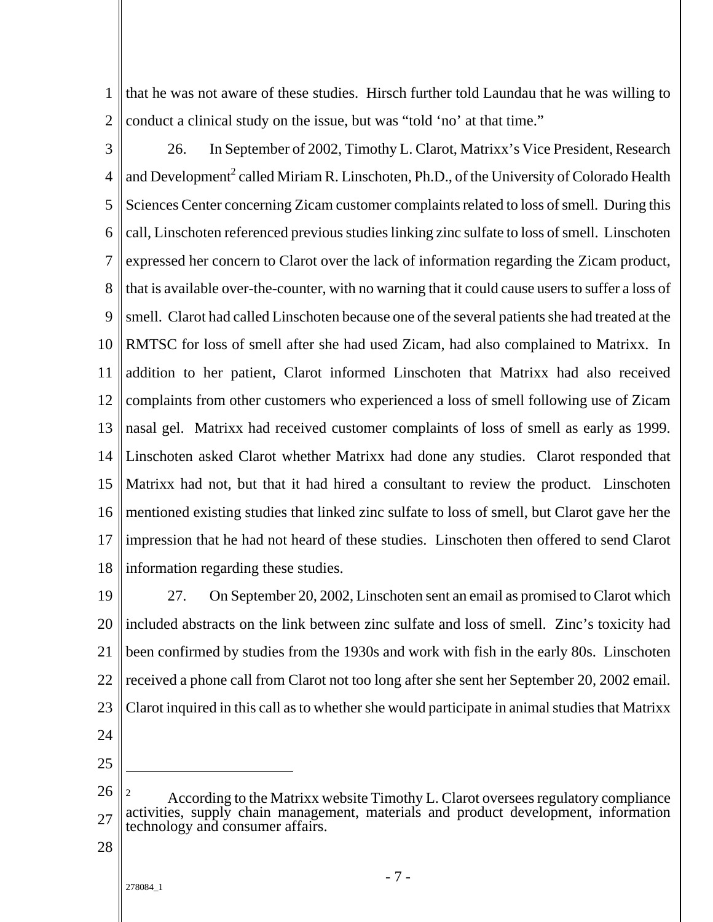1 2 that he was not aware of these studies. Hirsch further told Laundau that he was willing to conduct a clinical study on the issue, but was "told 'no' at that time."

3 4 5 6 7 8 9 10 11 12 13 14 15 16 17 18 26. In September of 2002, Timothy L. Clarot, Matrixx's Vice President, Research and Development<sup>2</sup> called Miriam R. Linschoten, Ph.D., of the University of Colorado Health Sciences Center concerning Zicam customer complaints related to loss of smell. During this call, Linschoten referenced previous studies linking zinc sulfate to loss of smell. Linschoten expressed her concern to Clarot over the lack of information regarding the Zicam product, that is available over-the-counter, with no warning that it could cause users to suffer a loss of smell. Clarot had called Linschoten because one of the several patients she had treated at the RMTSC for loss of smell after she had used Zicam, had also complained to Matrixx. In addition to her patient, Clarot informed Linschoten that Matrixx had also received complaints from other customers who experienced a loss of smell following use of Zicam nasal gel. Matrixx had received customer complaints of loss of smell as early as 1999. Linschoten asked Clarot whether Matrixx had done any studies. Clarot responded that Matrixx had not, but that it had hired a consultant to review the product. Linschoten mentioned existing studies that linked zinc sulfate to loss of smell, but Clarot gave her the impression that he had not heard of these studies. Linschoten then offered to send Clarot information regarding these studies.

19 20 21 22 23 24 27. On September 20, 2002, Linschoten sent an email as promised to Clarot which included abstracts on the link between zinc sulfate and loss of smell. Zinc's toxicity had been confirmed by studies from the 1930s and work with fish in the early 80s. Linschoten received a phone call from Clarot not too long after she sent her September 20, 2002 email. Clarot inquired in this call as to whether she would participate in animal studies that Matrixx

25

 $\overline{a}$ 

- 26 27 2 According to the Matrixx website Timothy L. Clarot oversees regulatory compliance activities, supply chain management, materials and product development, information technology and consumer affairs.
- 28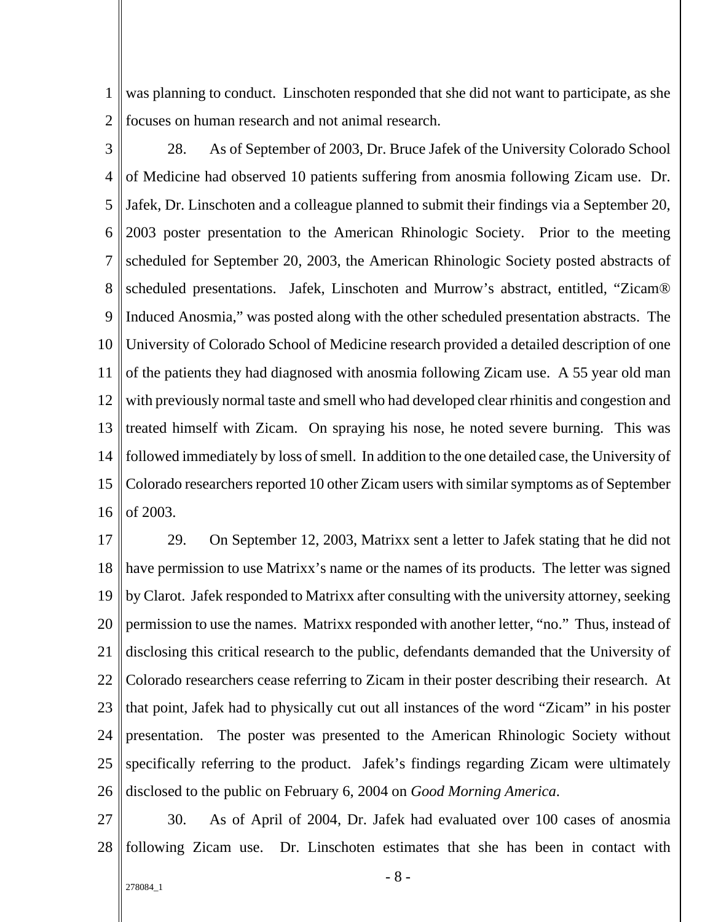1 2 was planning to conduct. Linschoten responded that she did not want to participate, as she focuses on human research and not animal research.

3 4 5 6 7 8 9 10 11 12 13 14 15 16 28. As of September of 2003, Dr. Bruce Jafek of the University Colorado School of Medicine had observed 10 patients suffering from anosmia following Zicam use. Dr. Jafek, Dr. Linschoten and a colleague planned to submit their findings via a September 20, 2003 poster presentation to the American Rhinologic Society. Prior to the meeting scheduled for September 20, 2003, the American Rhinologic Society posted abstracts of scheduled presentations. Jafek, Linschoten and Murrow's abstract, entitled, "Zicam® Induced Anosmia," was posted along with the other scheduled presentation abstracts. The University of Colorado School of Medicine research provided a detailed description of one of the patients they had diagnosed with anosmia following Zicam use. A 55 year old man with previously normal taste and smell who had developed clear rhinitis and congestion and treated himself with Zicam. On spraying his nose, he noted severe burning. This was followed immediately by loss of smell. In addition to the one detailed case, the University of Colorado researchers reported 10 other Zicam users with similar symptoms as of September of 2003.

17 18 19 20 21 22 23 24 25 26 29. On September 12, 2003, Matrixx sent a letter to Jafek stating that he did not have permission to use Matrixx's name or the names of its products. The letter was signed by Clarot. Jafek responded to Matrixx after consulting with the university attorney, seeking permission to use the names. Matrixx responded with another letter, "no." Thus, instead of disclosing this critical research to the public, defendants demanded that the University of Colorado researchers cease referring to Zicam in their poster describing their research. At that point, Jafek had to physically cut out all instances of the word "Zicam" in his poster presentation. The poster was presented to the American Rhinologic Society without specifically referring to the product. Jafek's findings regarding Zicam were ultimately disclosed to the public on February 6, 2004 on *Good Morning America*.

27 28 30. As of April of 2004, Dr. Jafek had evaluated over 100 cases of anosmia following Zicam use. Dr. Linschoten estimates that she has been in contact with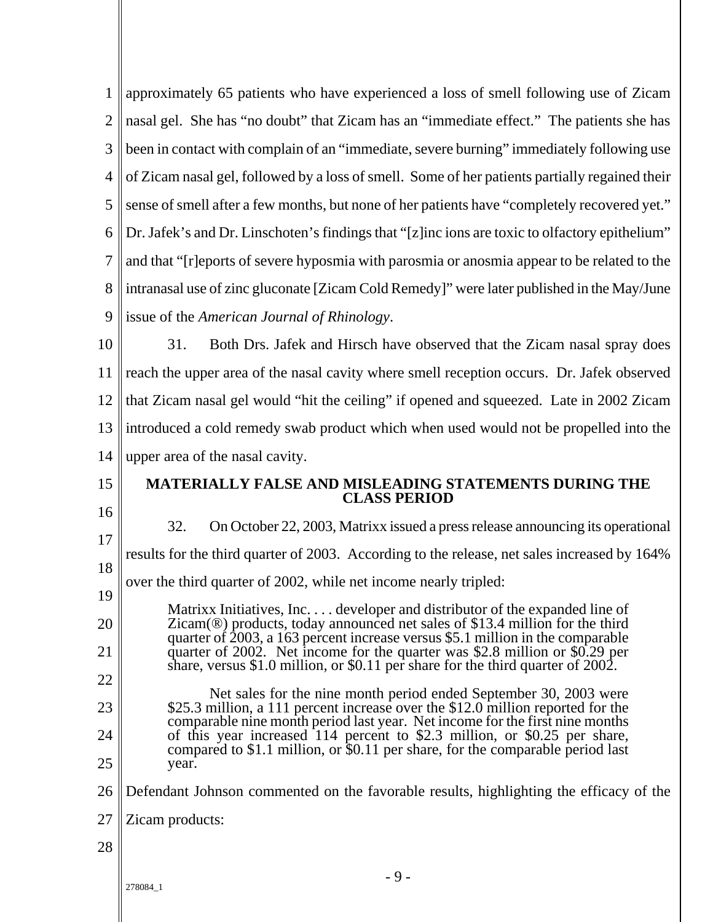| 1              | approximately 65 patients who have experienced a loss of smell following use of Zicam                                                                                          |
|----------------|--------------------------------------------------------------------------------------------------------------------------------------------------------------------------------|
| $\overline{2}$ | nasal gel. She has "no doubt" that Zicam has an "immediate effect." The patients she has                                                                                       |
| 3              | been in contact with complain of an "immediate, severe burning" immediately following use                                                                                      |
| 4              | of Zicam nasal gel, followed by a loss of smell. Some of her patients partially regained their                                                                                 |
| 5              | sense of smell after a few months, but none of her patients have "completely recovered yet."                                                                                   |
| 6              | Dr. Jafek's and Dr. Linschoten's findings that "[z]inc ions are toxic to olfactory epithelium"                                                                                 |
| $\overline{7}$ | and that "[r]eports of severe hyposmia with parosmia or anosmia appear to be related to the                                                                                    |
| 8              | intranasal use of zinc gluconate [Zicam Cold Remedy]" were later published in the May/June                                                                                     |
| 9              | issue of the American Journal of Rhinology.                                                                                                                                    |
| 10             | 31.<br>Both Drs. Jafek and Hirsch have observed that the Zicam nasal spray does                                                                                                |
| 11             | reach the upper area of the nasal cavity where smell reception occurs. Dr. Jafek observed                                                                                      |
| 12             | that Zicam nasal gel would "hit the ceiling" if opened and squeezed. Late in 2002 Zicam                                                                                        |
| 13             | introduced a cold remedy swab product which when used would not be propelled into the                                                                                          |
| 14             | upper area of the nasal cavity.                                                                                                                                                |
| 15             | MATERIALLY FALSE AND MISLEADING STATEMENTS DURING THE                                                                                                                          |
|                | <b>CLASS PERIOD</b>                                                                                                                                                            |
| 16             | 32.                                                                                                                                                                            |
| 17             | On October 22, 2003, Matrixx issued a press release announcing its operational<br>results for the third quarter of 2003. According to the release, net sales increased by 164% |
| 18             | over the third quarter of 2002, while net income nearly tripled:                                                                                                               |
| 19             | Matrixx Initiatives, Inc developer and distributor of the expanded line of                                                                                                     |
| 20             | Zicam(®) products, today announced net sales of \$13.4 million for the third<br>quarter of 2003, a 163 percent increase versus \$5.1 million in the comparable                 |
| 21             | quarter of 2002. Net income for the quarter was \$2.8 million or \$0.29 per<br>share, versus \$1.0 million, or \$0.11 per share for the third quarter of $2002$ .              |
| 22             | Net sales for the nine month period ended September 30, 2003 were                                                                                                              |
| 23             | \$25.3 million, a 111 percent increase over the \$12.0 million reported for the<br>comparable nine month period last year. Net income for the first nine months                |
| 24             | of this year increased 114 percent to \$2.3 million, or \$0.25 per share,<br>compared to \$1.1 million, or \$0.11 per share, for the comparable period last                    |
| 25             | year.                                                                                                                                                                          |
| 26             | Defendant Johnson commented on the favorable results, highlighting the efficacy of the                                                                                         |
| 27             | Zicam products:                                                                                                                                                                |
| 28             |                                                                                                                                                                                |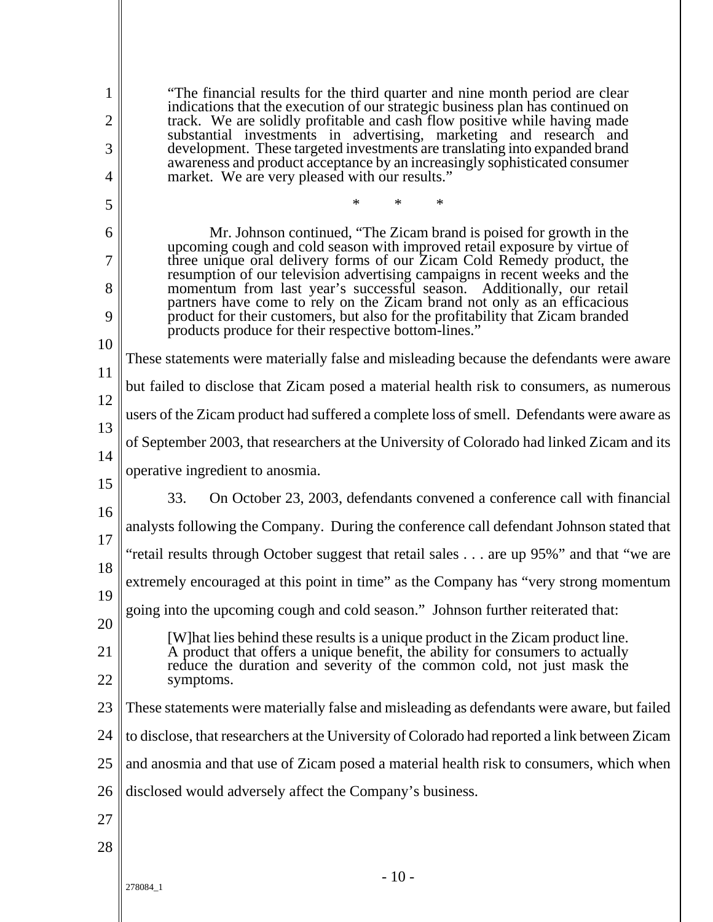- 10 - 1 2 3 4 5 6 7 8  $\overline{Q}$ 10 11 12 13 14 15 16 17 18 19 20 21 22 23 24 25 26 27 28 "The financial results for the third quarter and nine month period are clear indications that the execution of our strategic business plan has continued on track. We are solidly profitable and cash flow positive while having made substantial investments in advertising, marketing and research and development. These targeted investments are translating into expanded brand awareness and product acceptance by an increasingly sophisticated consumer market. We are very pleased with our results." \* \* \* Mr. Johnson continued, "The Zicam brand is poised for growth in the upcoming cough and cold season with improved retail exposure by virtue of three unique oral delivery forms of our Zicam Cold Remedy product, the resumption of our television advertising campaigns in recent weeks and the momentum from last year's successful season. Additionally, our retail partners have come to rely on the Zicam brand not only as an efficacious product for their customers, but also for the profitability that Zicam branded products produce for their respective bottom-lines." These statements were materially false and misleading because the defendants were aware but failed to disclose that Zicam posed a material health risk to consumers, as numerous users of the Zicam product had suffered a complete loss of smell. Defendants were aware as of September 2003, that researchers at the University of Colorado had linked Zicam and its operative ingredient to anosmia. 33. On October 23, 2003, defendants convened a conference call with financial analysts following the Company. During the conference call defendant Johnson stated that "retail results through October suggest that retail sales . . . are up 95%" and that "we are extremely encouraged at this point in time" as the Company has "very strong momentum going into the upcoming cough and cold season." Johnson further reiterated that: [W]hat lies behind these results is a unique product in the Zicam product line. A product that offers a unique benefit, the ability for consumers to actually reduce the duration and severity of the common cold, not just mask the symptoms. These statements were materially false and misleading as defendants were aware, but failed to disclose, that researchers at the University of Colorado had reported a link between Zicam and anosmia and that use of Zicam posed a material health risk to consumers, which when disclosed would adversely affect the Company's business.

278084\_1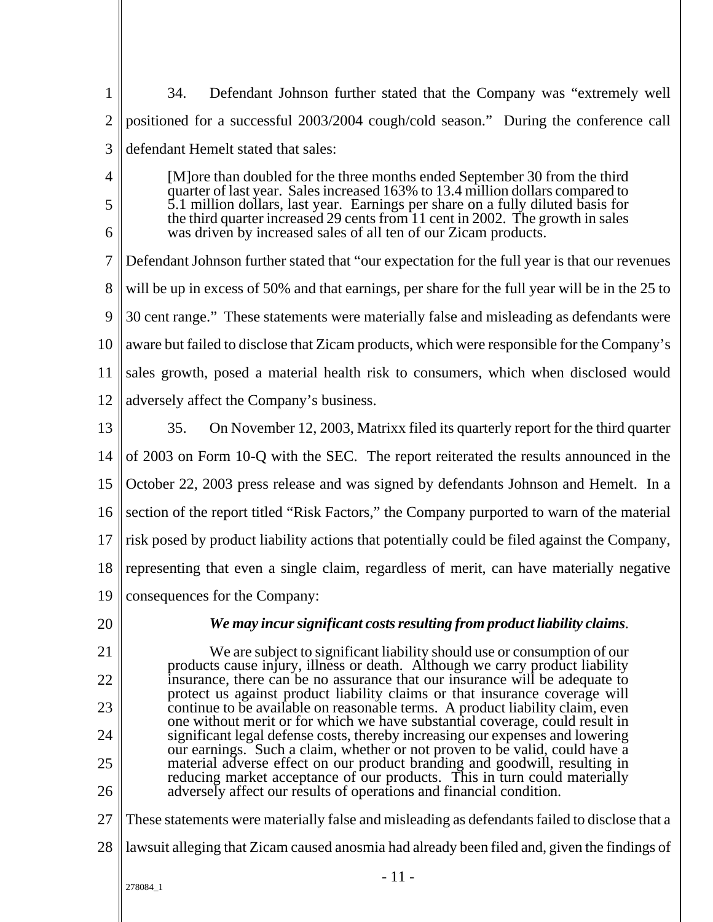- 11 - 278084\_1 1 2 3 4 5 6 7 8  $\overline{Q}$ 10 11 12 13 14 15 16 17 18 19 20 21 22 23 24 25 26 27 28 34. Defendant Johnson further stated that the Company was "extremely well positioned for a successful 2003/2004 cough/cold season." During the conference call defendant Hemelt stated that sales: [M]ore than doubled for the three months ended September 30 from the third quarter of last year. Sales increased 163% to 13.4 million dollars compared to 5.1 million dollars, last year. Earnings per share on a fully diluted basis for the third quarter increased 29 cents from 11 cent in 2002. The growth in sales was driven by increased sales of all ten of our Zicam products. Defendant Johnson further stated that "our expectation for the full year is that our revenues will be up in excess of 50% and that earnings, per share for the full year will be in the 25 to 30 cent range." These statements were materially false and misleading as defendants were aware but failed to disclose that Zicam products, which were responsible for the Company's sales growth, posed a material health risk to consumers, which when disclosed would adversely affect the Company's business. 35. On November 12, 2003, Matrixx filed its quarterly report for the third quarter of 2003 on Form 10-Q with the SEC. The report reiterated the results announced in the October 22, 2003 press release and was signed by defendants Johnson and Hemelt. In a section of the report titled "Risk Factors," the Company purported to warn of the material risk posed by product liability actions that potentially could be filed against the Company, representing that even a single claim, regardless of merit, can have materially negative consequences for the Company: *We may incur significant costs resulting from product liability claims*. We are subject to significant liability should use or consumption of our products cause injury, illness or death. Although we carry product liability insurance, there can be no assurance that our insurance will be adequate to protect us against product liability claims or that insurance coverage will continue to be available on reasonable terms. A product liability claim, even one without merit or for which we have substantial coverage, could result in significant legal defense costs, thereby increasing our expenses and lowering our earnings. Such a claim, whether or not proven to be valid, could have a material adverse effect on our product branding and goodwill, resulting in reducing market acceptance of our products. This in turn could materially adversely affect our results of operations and financial condition. These statements were materially false and misleading as defendants failed to disclose that a lawsuit alleging that Zicam caused anosmia had already been filed and, given the findings of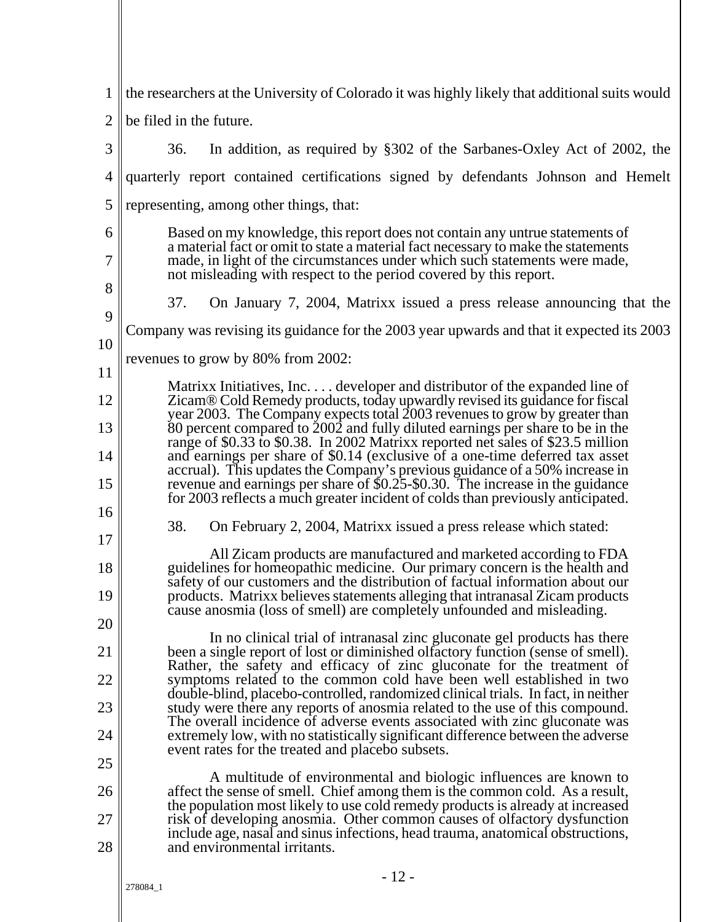| 1              | the researchers at the University of Colorado it was highly likely that additional suits would                                                                                                                                       |
|----------------|--------------------------------------------------------------------------------------------------------------------------------------------------------------------------------------------------------------------------------------|
| $\overline{2}$ | be filed in the future.                                                                                                                                                                                                              |
| 3              | In addition, as required by §302 of the Sarbanes-Oxley Act of 2002, the<br>36.                                                                                                                                                       |
| 4              | quarterly report contained certifications signed by defendants Johnson and Hemelt                                                                                                                                                    |
| 5              | representing, among other things, that:                                                                                                                                                                                              |
| 6              | Based on my knowledge, this report does not contain any untrue statements of                                                                                                                                                         |
| 7              | a material fact or omit to state a material fact necessary to make the statements<br>made, in light of the circumstances under which such statements were made,<br>not misleading with respect to the period covered by this report. |
| 8              |                                                                                                                                                                                                                                      |
| 9              | 37.<br>On January 7, 2004, Matrixx issued a press release announcing that the                                                                                                                                                        |
| 10             | Company was revising its guidance for the 2003 year upwards and that it expected its 2003                                                                                                                                            |
| 11             | revenues to grow by 80% from 2002:                                                                                                                                                                                                   |
|                | Matrixx Initiatives, Inc developer and distributor of the expanded line of                                                                                                                                                           |
| 12             | Zicam® Cold Remedy products, today upwardly revised its guidance for fiscal<br>year 2003. The Company expects total 2003 revenues to grow by greater than                                                                            |
| 13             | 80 percent compared to 2002 and fully diluted earnings per share to be in the<br>range of \$0.33 to \$0.38. In 2002 Matrixx reported net sales of \$23.5 million                                                                     |
| 14             | and earnings per share of \$0.14 (exclusive of a one-time deferred tax asset<br>accrual). This updates the Company's previous guidance of a 50% increase in                                                                          |
| 15<br>16       | revenue and earnings per share of \$0.25-\$0.30. The increase in the guidance<br>for 2003 reflects a much greater incident of colds than previously anticipated.                                                                     |
| 17             | 38.<br>On February 2, 2004, Matrixx issued a press release which stated:                                                                                                                                                             |
|                | All Zicam products are manufactured and marketed according to FDA                                                                                                                                                                    |
| 18             | guidelines for homeopathic medicine. Our primary concern is the health and<br>safety of our customers and the distribution of factual information about our                                                                          |
| 19             | products. Matrixx believes statements alleging that intranasal Zicam products<br>cause anosmia (loss of smell) are completely unfounded and misleading.                                                                              |
| 20             | In no clinical trial of intranasal zinc gluconate gel products has there                                                                                                                                                             |
| 21             | been a single report of lost or diminished olfactory function (sense of smell).<br>Rather, the safety and efficacy of zinc gluconate for the treatment of                                                                            |
| 22             | symptoms related to the common cold have been well established in two<br>double-blind, placebo-controlled, randomized clinical trials. In fact, in neither                                                                           |
| 23             | study were there any reports of anosmia related to the use of this compound.                                                                                                                                                         |
| 24             | The overall incidence of adverse events associated with zinc gluconate was<br>extremely low, with no statistically significant difference between the adverse                                                                        |
| 25             | event rates for the treated and placebo subsets.                                                                                                                                                                                     |
| 26             | A multitude of environmental and biologic influences are known to<br>affect the sense of smell. Chief among them is the common cold. As a result,                                                                                    |
| 27             | the population most likely to use cold remedy products is already at increased<br>risk of developing anosmia. Other common causes of olfactory dysfunction                                                                           |
| 28             | include age, nasal and sinus infections, head trauma, anatomical obstructions,<br>and environmental irritants.                                                                                                                       |
|                | $-12-$                                                                                                                                                                                                                               |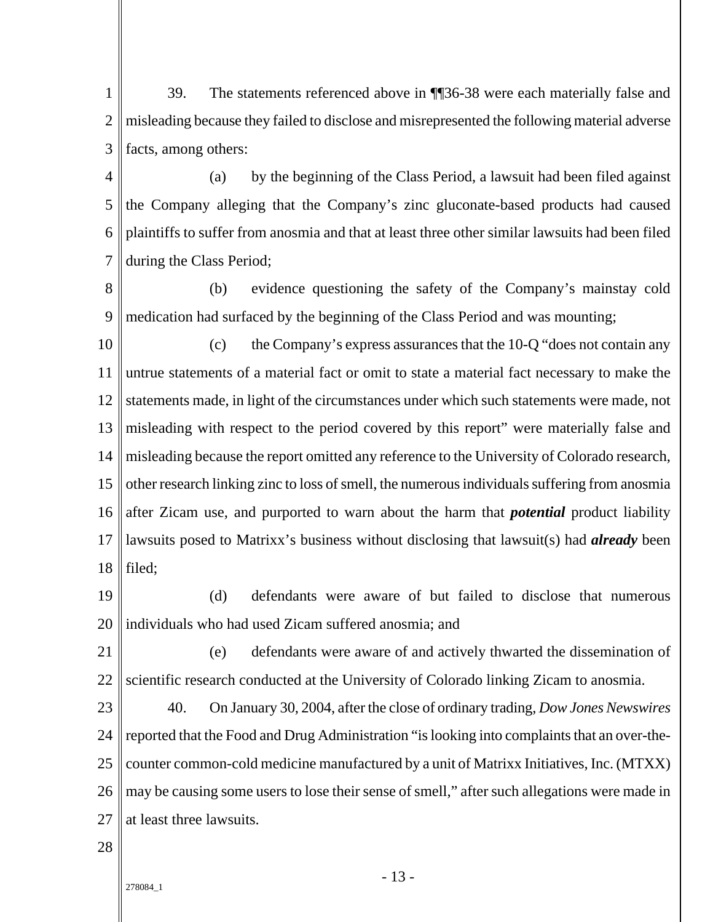1 2 3 39. The statements referenced above in ¶¶36-38 were each materially false and misleading because they failed to disclose and misrepresented the following material adverse facts, among others:

4 5 6 7 (a) by the beginning of the Class Period, a lawsuit had been filed against the Company alleging that the Company's zinc gluconate-based products had caused plaintiffs to suffer from anosmia and that at least three other similar lawsuits had been filed during the Class Period;

8 9 (b) evidence questioning the safety of the Company's mainstay cold medication had surfaced by the beginning of the Class Period and was mounting;

10 11 12 13 14 15 16 17 18 (c) the Company's express assurances that the 10-Q "does not contain any untrue statements of a material fact or omit to state a material fact necessary to make the statements made, in light of the circumstances under which such statements were made, not misleading with respect to the period covered by this report" were materially false and misleading because the report omitted any reference to the University of Colorado research, other research linking zinc to loss of smell, the numerous individuals suffering from anosmia after Zicam use, and purported to warn about the harm that *potential* product liability lawsuits posed to Matrixx's business without disclosing that lawsuit(s) had *already* been filed;

19 20 (d) defendants were aware of but failed to disclose that numerous individuals who had used Zicam suffered anosmia; and

21 22 (e) defendants were aware of and actively thwarted the dissemination of scientific research conducted at the University of Colorado linking Zicam to anosmia.

 $23$ 24 25 26 27 40. On January 30, 2004, after the close of ordinary trading, *Dow Jones Newswires* reported that the Food and Drug Administration "is looking into complaints that an over-thecounter common-cold medicine manufactured by a unit of Matrixx Initiatives, Inc. (MTXX) may be causing some users to lose their sense of smell," after such allegations were made in at least three lawsuits.

28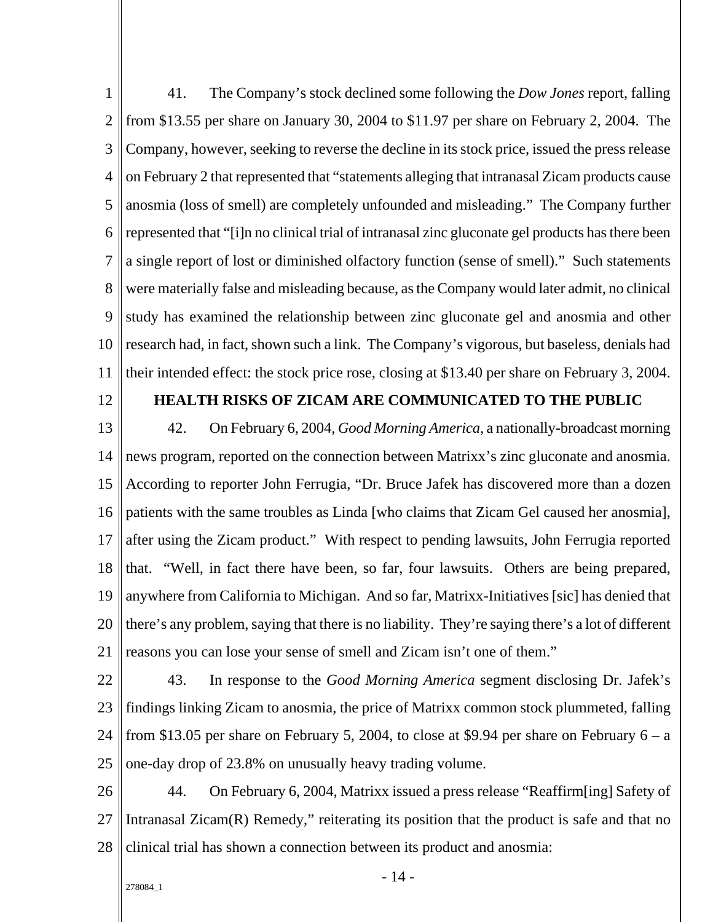1 2 3 4 5 6 7 8 9 10 11 41. The Company's stock declined some following the *Dow Jones* report, falling from \$13.55 per share on January 30, 2004 to \$11.97 per share on February 2, 2004. The Company, however, seeking to reverse the decline in its stock price, issued the press release on February 2 that represented that "statements alleging that intranasal Zicam products cause anosmia (loss of smell) are completely unfounded and misleading." The Company further represented that "[i]n no clinical trial of intranasal zinc gluconate gel products has there been a single report of lost or diminished olfactory function (sense of smell)." Such statements were materially false and misleading because, as the Company would later admit, no clinical study has examined the relationship between zinc gluconate gel and anosmia and other research had, in fact, shown such a link. The Company's vigorous, but baseless, denials had their intended effect: the stock price rose, closing at \$13.40 per share on February 3, 2004.

12

### **HEALTH RISKS OF ZICAM ARE COMMUNICATED TO THE PUBLIC**

13 14 15 16 17 18 19 20 21 42. On February 6, 2004, *Good Morning America*, a nationally-broadcast morning news program, reported on the connection between Matrixx's zinc gluconate and anosmia. According to reporter John Ferrugia, "Dr. Bruce Jafek has discovered more than a dozen patients with the same troubles as Linda [who claims that Zicam Gel caused her anosmia], after using the Zicam product." With respect to pending lawsuits, John Ferrugia reported that. "Well, in fact there have been, so far, four lawsuits. Others are being prepared, anywhere from California to Michigan. And so far, Matrixx-Initiatives [sic] has denied that there's any problem, saying that there is no liability. They're saying there's a lot of different reasons you can lose your sense of smell and Zicam isn't one of them."

- 22 23 24 25 43. In response to the *Good Morning America* segment disclosing Dr. Jafek's findings linking Zicam to anosmia, the price of Matrixx common stock plummeted, falling from \$13.05 per share on February 5, 2004, to close at \$9.94 per share on February  $6 - a$ one-day drop of 23.8% on unusually heavy trading volume.
- 26 27 28 44. On February 6, 2004, Matrixx issued a press release "Reaffirm[ing] Safety of Intranasal Zicam(R) Remedy," reiterating its position that the product is safe and that no clinical trial has shown a connection between its product and anosmia: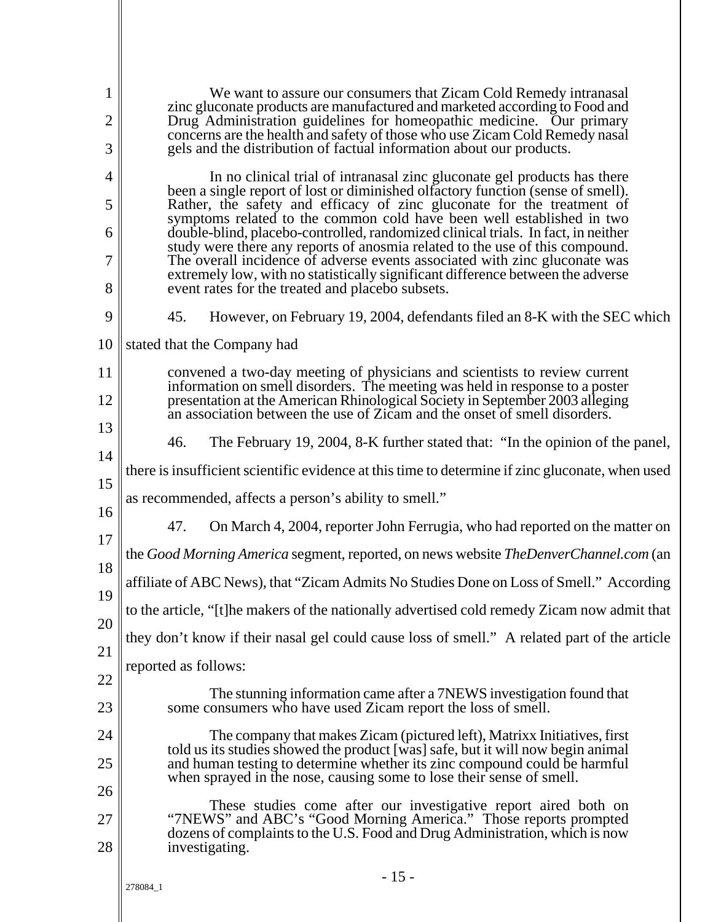| 1<br>2   | We want to assure our consumers that Zicam Cold Remedy intranasal<br>zinc gluconate products are manufactured and marketed according to Food and<br>Drug Administration guidelines for homeopathic medicine. Our primary                  |  |  |  |  |
|----------|-------------------------------------------------------------------------------------------------------------------------------------------------------------------------------------------------------------------------------------------|--|--|--|--|
| 3        | concerns are the health and safety of those who use Zicam Cold Remedy nasal<br>gels and the distribution of factual information about our products.                                                                                       |  |  |  |  |
| 4        | In no clinical trial of intranasal zinc gluconate gel products has there                                                                                                                                                                  |  |  |  |  |
| 5        | been a single report of lost or diminished olfactory function (sense of smell).<br>Rather, the safety and efficacy of zinc gluconate for the treatment of<br>symptoms related to the common cold have been well established in two        |  |  |  |  |
| 6        | double-blind, placebo-controlled, randomized clinical trials. In fact, in neither<br>study were there any reports of anosmia related to the use of this compound.                                                                         |  |  |  |  |
| 7<br>8   | The overall incidence of adverse events associated with zinc gluconate was<br>extremely low, with no statistically significant difference between the adverse<br>event rates for the treated and placebo subsets.                         |  |  |  |  |
| 9        | 45.<br>However, on February 19, 2004, defendants filed an 8-K with the SEC which                                                                                                                                                          |  |  |  |  |
| 10       |                                                                                                                                                                                                                                           |  |  |  |  |
|          | stated that the Company had                                                                                                                                                                                                               |  |  |  |  |
| 11<br>12 | convened a two-day meeting of physicians and scientists to review current<br>information on smell disorders. The meeting was held in response to a poster<br>presentation at the American Rhinological Society in September 2003 alleging |  |  |  |  |
|          | an association between the use of Zicam and the onset of smell disorders.                                                                                                                                                                 |  |  |  |  |
| 13<br>14 | 46.<br>The February 19, 2004, 8-K further stated that: "In the opinion of the panel,                                                                                                                                                      |  |  |  |  |
|          | there is insufficient scientific evidence at this time to determine if zinc gluconate, when used                                                                                                                                          |  |  |  |  |
| 15<br>16 | as recommended, affects a person's ability to smell."                                                                                                                                                                                     |  |  |  |  |
| 17       | 47.<br>On March 4, 2004, reporter John Ferrugia, who had reported on the matter on                                                                                                                                                        |  |  |  |  |
| 18       | the Good Morning America segment, reported, on news website TheDenverChannel.com (an                                                                                                                                                      |  |  |  |  |
|          | affiliate of ABC News), that "Zicam Admits No Studies Done on Loss of Smell." According                                                                                                                                                   |  |  |  |  |
| 19<br>20 | to the article, "[t] he makers of the nationally advertised cold remedy Zicam now admit that                                                                                                                                              |  |  |  |  |
|          | they don't know if their nasal gel could cause loss of smell." A related part of the article                                                                                                                                              |  |  |  |  |
| 21<br>22 | reported as follows:                                                                                                                                                                                                                      |  |  |  |  |
| 23       | The stunning information came after a 7NEWS investigation found that<br>some consumers who have used Zicam report the loss of smell.                                                                                                      |  |  |  |  |
| 24       | The company that makes Zicam (pictured left), Matrixx Initiatives, first                                                                                                                                                                  |  |  |  |  |
| 25       | told us its studies showed the product [was] safe, but it will now begin animal<br>and human testing to determine whether its zinc compound could be harmful<br>when sprayed in the nose, causing some to lose their sense of smell.      |  |  |  |  |
| 26       | These studies come after our investigative report aired both on                                                                                                                                                                           |  |  |  |  |
| 27       | "7NEWS" and ABC's "Good Morning America." Those reports prompted<br>dozens of complaints to the U.S. Food and Drug Administration, which is now                                                                                           |  |  |  |  |
| 28       | investigating.                                                                                                                                                                                                                            |  |  |  |  |
|          | $-15-$<br>278084_1                                                                                                                                                                                                                        |  |  |  |  |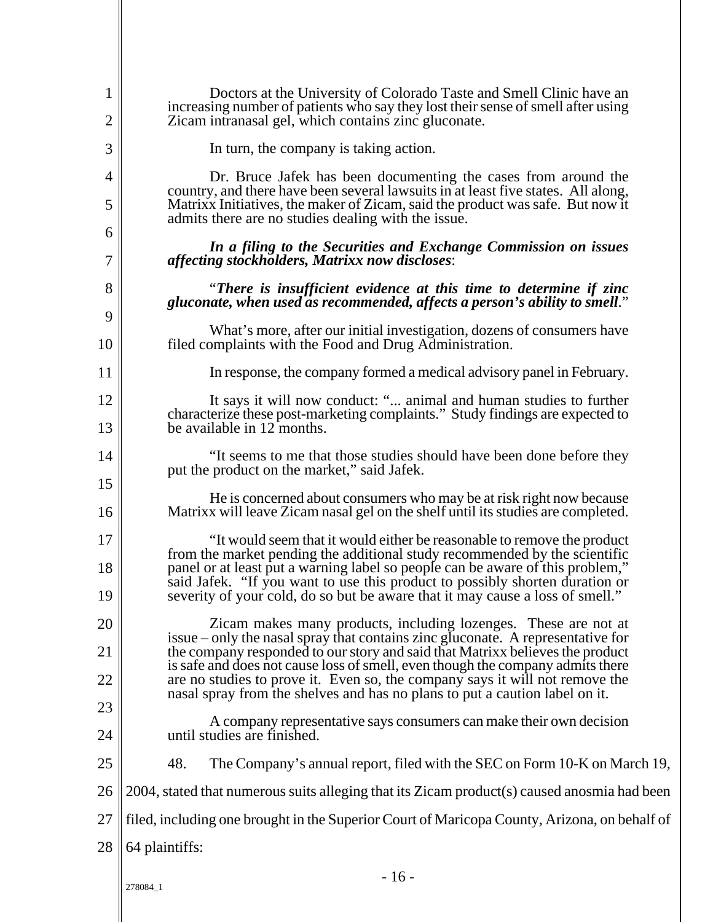| 1<br>$\overline{2}$ | Doctors at the University of Colorado Taste and Smell Clinic have an<br>increasing number of patients who say they lost their sense of smell after using<br>Zicam intranasal gel, which contains zinc gluconate.                             |
|---------------------|----------------------------------------------------------------------------------------------------------------------------------------------------------------------------------------------------------------------------------------------|
| 3                   | In turn, the company is taking action.                                                                                                                                                                                                       |
| 4                   | Dr. Bruce Jafek has been documenting the cases from around the                                                                                                                                                                               |
| 5                   | country, and there have been several lawsuits in at least five states. All along,<br>Matrixx Initiatives, the maker of Zicam, said the product was safe. But now it<br>admits there are no studies dealing with the issue.                   |
| 6<br>7              | In a filing to the Securities and Exchange Commission on issues<br>affecting stockholders, Matrixx now discloses:                                                                                                                            |
| 8                   | "There is insufficient evidence at this time to determine if zinc                                                                                                                                                                            |
| 9                   | gluconate, when used as recommended, affects a person's ability to smell."                                                                                                                                                                   |
| 10                  | What's more, after our initial investigation, dozens of consumers have<br>filed complaints with the Food and Drug Administration.                                                                                                            |
| 11                  | In response, the company formed a medical advisory panel in February.                                                                                                                                                                        |
| 12                  | It says it will now conduct: " animal and human studies to further                                                                                                                                                                           |
| 13                  | characterize these post-marketing complaints." Study findings are expected to<br>be available in 12 months.                                                                                                                                  |
| 14                  | "It seems to me that those studies should have been done before they<br>put the product on the market," said Jafek.                                                                                                                          |
| 15<br>16            | He is concerned about consumers who may be at risk right now because<br>Matrixx will leave Zicam nasal gel on the shelf until its studies are completed.                                                                                     |
| 17                  | "It would seem that it would either be reasonable to remove the product                                                                                                                                                                      |
| 18                  | from the market pending the additional study recommended by the scientific<br>panel or at least put a warning label so people can be aware of this problem,"<br>said Jafek. "If you want to use this product to possibly shorten duration or |
| 19                  | severity of your cold, do so but be aware that it may cause a loss of smell."                                                                                                                                                                |
| 20                  | Zicam makes many products, including lozenges. These are not at<br>issue – only the nasal spray that contains zinc gluconate. A representative for                                                                                           |
| 21                  | the company responded to our story and said that Matrixx believes the product<br>is safe and does not cause loss of smell, even though the company admits there                                                                              |
| 22                  | are no studies to prove it. Even so, the company says it will not remove the<br>nasal spray from the shelves and has no plans to put a caution label on it.                                                                                  |
| 23                  | A company representative says consumers can make their own decision                                                                                                                                                                          |
| 24                  | until studies are finished.                                                                                                                                                                                                                  |
| 25                  | 48.<br>The Company's annual report, filed with the SEC on Form 10-K on March 19,                                                                                                                                                             |
| 26                  | 2004, stated that numerous suits alleging that its Zicam product(s) caused anosmia had been                                                                                                                                                  |
| 27                  | filed, including one brought in the Superior Court of Maricopa County, Arizona, on behalf of                                                                                                                                                 |
| 28                  | 64 plaintiffs:                                                                                                                                                                                                                               |
|                     | $-16-$<br>278084_1                                                                                                                                                                                                                           |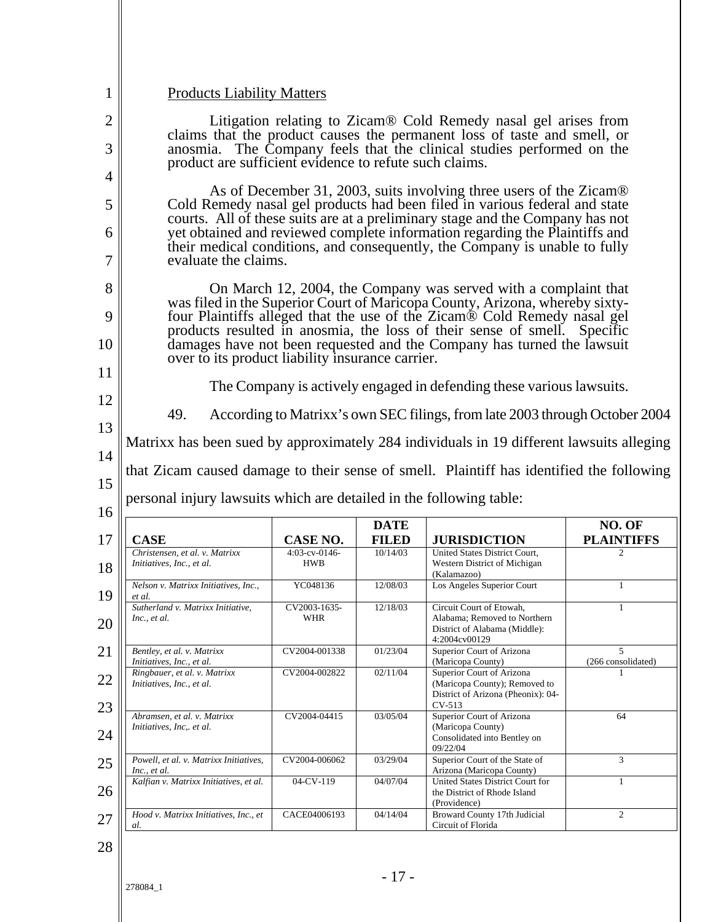| <b>Products Liability Matters</b>                                                                                                                                                                           |                             |                             |                                                                                                                                                      |                                                         |
|-------------------------------------------------------------------------------------------------------------------------------------------------------------------------------------------------------------|-----------------------------|-----------------------------|------------------------------------------------------------------------------------------------------------------------------------------------------|---------------------------------------------------------|
| Litigation relating to Zicam <sup>®</sup> Cold Remedy nasal gel arises from                                                                                                                                 |                             |                             |                                                                                                                                                      |                                                         |
| claims that the product causes the permanent loss of taste and smell, or<br>anosmia. The Company feels that the clinical studies performed on the<br>product are sufficient evidence to refute such claims. |                             |                             |                                                                                                                                                      |                                                         |
|                                                                                                                                                                                                             |                             |                             |                                                                                                                                                      |                                                         |
| As of December 31, 2003, suits involving three users of the Zicam®<br>Cold Remedy nasal gel products had been filed in various federal and state                                                            |                             |                             |                                                                                                                                                      |                                                         |
| courts. All of these suits are at a preliminary stage and the Company has not<br>yet obtained and reviewed complete information regarding the Plaintiffs and                                                |                             |                             |                                                                                                                                                      |                                                         |
| their medical conditions, and consequently, the Company is unable to fully<br>evaluate the claims.                                                                                                          |                             |                             |                                                                                                                                                      |                                                         |
|                                                                                                                                                                                                             |                             |                             | On March 12, 2004, the Company was served with a complaint that<br>was filed in the Superior Court of Maricopa County, Arizona, whereby sixty-       |                                                         |
|                                                                                                                                                                                                             |                             |                             | four Plaintiffs alleged that the use of the Zicam® Cold Remedy nasal gel<br>products resulted in anosmia, the loss of their sense of smell. Specific |                                                         |
| over to its product liability insurance carrier.                                                                                                                                                            |                             |                             | damages have not been requested and the Company has turned the lawsuit                                                                               |                                                         |
|                                                                                                                                                                                                             |                             |                             | The Company is actively engaged in defending these various lawsuits.                                                                                 |                                                         |
| 49.<br>According to Matrixx's own SEC filings, from late 2003 through October 2004                                                                                                                          |                             |                             |                                                                                                                                                      |                                                         |
|                                                                                                                                                                                                             |                             |                             |                                                                                                                                                      |                                                         |
| Matrixx has been sued by approximately 284 individuals in 19 different lawsuits alleging                                                                                                                    |                             |                             |                                                                                                                                                      |                                                         |
|                                                                                                                                                                                                             |                             |                             | that Zicam caused damage to their sense of smell. Plaintiff has identified the following                                                             |                                                         |
| personal injury lawsuits which are detailed in the following table:                                                                                                                                         |                             |                             |                                                                                                                                                      |                                                         |
| <b>CASE</b>                                                                                                                                                                                                 | CASE NO.                    | <b>DATE</b><br><b>FILED</b> | <b>JURISDICTION</b>                                                                                                                                  | NO. OF                                                  |
| Christensen, et al. v. Matrixx<br>Initiatives, Inc., et al.                                                                                                                                                 | 4:03-cv-0146-<br><b>HWB</b> | 10/14/03                    | United States District Court,<br>Western District of Michigan                                                                                        |                                                         |
| Nelson v. Matrixx Initiatives, Inc.,                                                                                                                                                                        | YC048136                    | 12/08/03                    | (Kalamazoo)<br>Los Angeles Superior Court                                                                                                            |                                                         |
| et al.<br>Sutherland v. Matrixx Initiative,<br>Inc., et al.                                                                                                                                                 | CV2003-1635-<br>WHR         | 12/18/03                    | Circuit Court of Etowah,<br>Alabama; Removed to Northern<br>District of Alabama (Middle):<br>4:2004cv00129                                           | 1                                                       |
| Bentley, et al. v. Matrixx<br>Initiatives, Inc., et al.                                                                                                                                                     | CV2004-001338               | 01/23/04                    | Superior Court of Arizona<br>(Maricopa County)                                                                                                       | 5                                                       |
| Ringbauer, et al. v. Matrixx<br>Initiatives, Inc., et al.                                                                                                                                                   | CV2004-002822               | 02/11/04                    | Superior Court of Arizona<br>(Maricopa County); Removed to<br>District of Arizona (Pheonix): 04-                                                     | 1                                                       |
| Abramsen, et al. v. Matrixx<br>Initiatives, Inc, et al.                                                                                                                                                     | CV2004-04415                | 03/05/04                    | $CV-513$<br>Superior Court of Arizona<br>(Maricopa County)<br>Consolidated into Bentley on                                                           | 64                                                      |
| Powell, et al. v. Matrixx Initiatives,                                                                                                                                                                      | CV2004-006062               | 03/29/04                    | 09/22/04<br>Superior Court of the State of                                                                                                           | 3                                                       |
| Inc., et al.<br>Kalfian v. Matrixx Initiatives, et al.                                                                                                                                                      | 04-CV-119                   | 04/07/04                    | Arizona (Maricopa County)<br>United States District Court for<br>the District of Rhode Island<br>(Providence)                                        | <b>PLAINTIFFS</b><br>(266 consolidated)<br>$\mathbf{1}$ |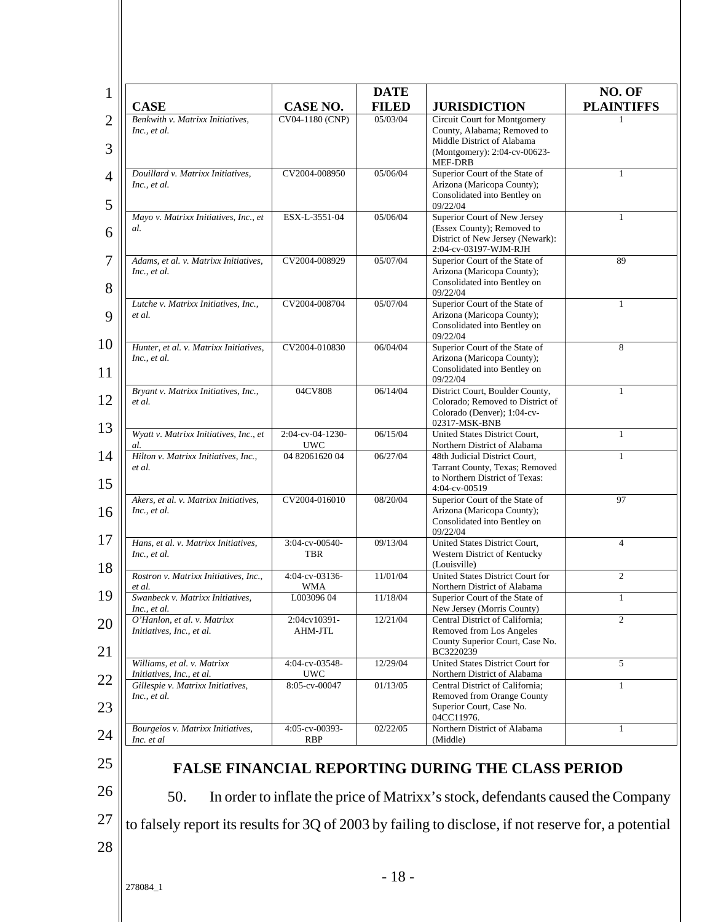| <b>CASE</b>                                                    | <b>CASE NO.</b>      | <b>DATE</b><br><b>FILED</b> | <b>JURISDICTION</b>                                                                                  | NO. OF<br><b>PLAINTIFFS</b> |
|----------------------------------------------------------------|----------------------|-----------------------------|------------------------------------------------------------------------------------------------------|-----------------------------|
| Benkwith v. Matrixx Initiatives,                               | CV04-1180 (CNP)      | 05/03/04                    | Circuit Court for Montgomery                                                                         |                             |
| Inc., et al.                                                   |                      |                             | County, Alabama; Removed to                                                                          |                             |
|                                                                |                      |                             | Middle District of Alabama                                                                           |                             |
|                                                                |                      |                             | (Montgomery): 2:04-cv-00623-<br>MEF-DRB                                                              |                             |
| Douillard v. Matrixx Initiatives,                              | CV2004-008950        | 05/06/04                    | Superior Court of the State of                                                                       | $\mathbf{1}$                |
| Inc., et al.                                                   |                      |                             | Arizona (Maricopa County);                                                                           |                             |
|                                                                |                      |                             | Consolidated into Bentley on                                                                         |                             |
|                                                                |                      |                             | 09/22/04                                                                                             |                             |
| Mayo v. Matrixx Initiatives, Inc., et                          | ESX-L-3551-04        | 05/06/04                    | Superior Court of New Jersey                                                                         | $\mathbf{1}$                |
| al.                                                            |                      |                             | (Essex County); Removed to<br>District of New Jersey (Newark):                                       |                             |
|                                                                |                      |                             | 2:04-cv-03197-WJM-RJH                                                                                |                             |
| Adams, et al. v. Matrixx Initiatives,                          | CV2004-008929        | 05/07/04                    | Superior Court of the State of                                                                       | 89                          |
| Inc., et al.                                                   |                      |                             | Arizona (Maricopa County);                                                                           |                             |
|                                                                |                      |                             | Consolidated into Bentley on                                                                         |                             |
|                                                                |                      |                             | 09/22/04                                                                                             |                             |
| Lutche v. Matrixx Initiatives, Inc.,<br>et al.                 | CV2004-008704        | 05/07/04                    | Superior Court of the State of<br>Arizona (Maricopa County);                                         | 1                           |
|                                                                |                      |                             | Consolidated into Bentley on                                                                         |                             |
|                                                                |                      |                             | 09/22/04                                                                                             |                             |
| Hunter, et al. v. Matrixx Initiatives,                         | CV2004-010830        | 06/04/04                    | Superior Court of the State of                                                                       | 8                           |
| Inc., et al.                                                   |                      |                             | Arizona (Maricopa County);                                                                           |                             |
|                                                                |                      |                             | Consolidated into Bentley on                                                                         |                             |
| Bryant v. Matrixx Initiatives, Inc.,                           | 04CV808              | 06/14/04                    | 09/22/04<br>District Court, Boulder County,                                                          | 1                           |
| et al.                                                         |                      |                             | Colorado; Removed to District of                                                                     |                             |
|                                                                |                      |                             | Colorado (Denver); 1:04-cv-                                                                          |                             |
|                                                                |                      |                             | 02317-MSK-BNB                                                                                        |                             |
| Wyatt v. Matrixx Initiatives, Inc., et                         | 2:04-cv-04-1230-     | 06/15/04                    | United States District Court,                                                                        | $\mathbf{1}$                |
| al.                                                            | <b>UWC</b>           |                             | Northern District of Alabama                                                                         | $\mathbf{1}$                |
| Hilton v. Matrixx Initiatives, Inc.,<br>et al.                 | 04 82061620 04       | 06/27/04                    | 48th Judicial District Court,<br>Tarrant County, Texas; Removed                                      |                             |
|                                                                |                      |                             | to Northern District of Texas:                                                                       |                             |
|                                                                |                      |                             | 4:04-cv-00519                                                                                        |                             |
| Akers, et al. v. Matrixx Initiatives,                          | CV2004-016010        | 08/20/04                    | Superior Court of the State of                                                                       | 97                          |
| Inc., et al.                                                   |                      |                             | Arizona (Maricopa County);                                                                           |                             |
|                                                                |                      |                             | Consolidated into Bentley on<br>09/22/04                                                             |                             |
| Hans, et al. v. Matrixx Initiatives,                           | 3:04-cv-00540-       | 09/13/04                    | United States District Court,                                                                        | $\overline{4}$              |
| Inc., et al.                                                   | <b>TBR</b>           |                             | Western District of Kentucky                                                                         |                             |
|                                                                |                      |                             | (Louisville)                                                                                         |                             |
| Rostron v. Matrixx Initiatives, Inc.,                          | 4:04-cv-03136-       | 11/01/04                    | United States District Court for                                                                     | $\overline{c}$              |
| et al.                                                         | <b>WMA</b>           |                             | Northern District of Alabama                                                                         |                             |
| Swanbeck v. Matrixx Initiatives,                               | L003096 04           | 11/18/04                    | Superior Court of the State of                                                                       |                             |
| Inc., et al.<br>O'Hanlon, et al. v. Matrixx                    | 2:04cv10391-         | 12/21/04                    | New Jersey (Morris County)<br>Central District of California;                                        | 2                           |
| Initiatives, Inc., et al.                                      | AHM-JTL              |                             | Removed from Los Angeles                                                                             |                             |
|                                                                |                      |                             | County Superior Court, Case No.                                                                      |                             |
|                                                                |                      |                             | BC3220239                                                                                            |                             |
| Williams, et al. v. Matrixx                                    | 4:04-cv-03548-       | 12/29/04                    | United States District Court for                                                                     | 5                           |
| Initiatives, Inc., et al.<br>Gillespie v. Matrixx Initiatives, | UWC<br>8:05-cv-00047 | 01/13/05                    | Northern District of Alabama<br>Central District of California;                                      | 1                           |
| Inc., et al.                                                   |                      |                             | Removed from Orange County                                                                           |                             |
|                                                                |                      |                             | Superior Court, Case No.                                                                             |                             |
|                                                                |                      |                             | 04CC11976.                                                                                           |                             |
| Bourgeios v. Matrixx Initiatives,                              | 4:05-cv-00393-       | 02/22/05                    | Northern District of Alabama                                                                         | 1                           |
| Inc. et al                                                     | <b>RBP</b>           |                             | (Middle)                                                                                             |                             |
|                                                                |                      |                             |                                                                                                      |                             |
|                                                                |                      |                             | <b>FALSE FINANCIAL REPORTING DURING THE CLASS PERIOD</b>                                             |                             |
|                                                                |                      |                             |                                                                                                      |                             |
| 50.                                                            |                      |                             | In order to inflate the price of Matrixx's stock, defendants caused the Company                      |                             |
|                                                                |                      |                             |                                                                                                      |                             |
|                                                                |                      |                             | to falsely report its results for 3Q of 2003 by failing to disclose, if not reserve for, a potential |                             |
|                                                                |                      |                             |                                                                                                      |                             |
|                                                                |                      |                             |                                                                                                      |                             |
|                                                                |                      |                             |                                                                                                      |                             |
|                                                                |                      | $-18-$                      |                                                                                                      |                             |
| 278084_1                                                       |                      |                             |                                                                                                      |                             |
|                                                                |                      |                             |                                                                                                      |                             |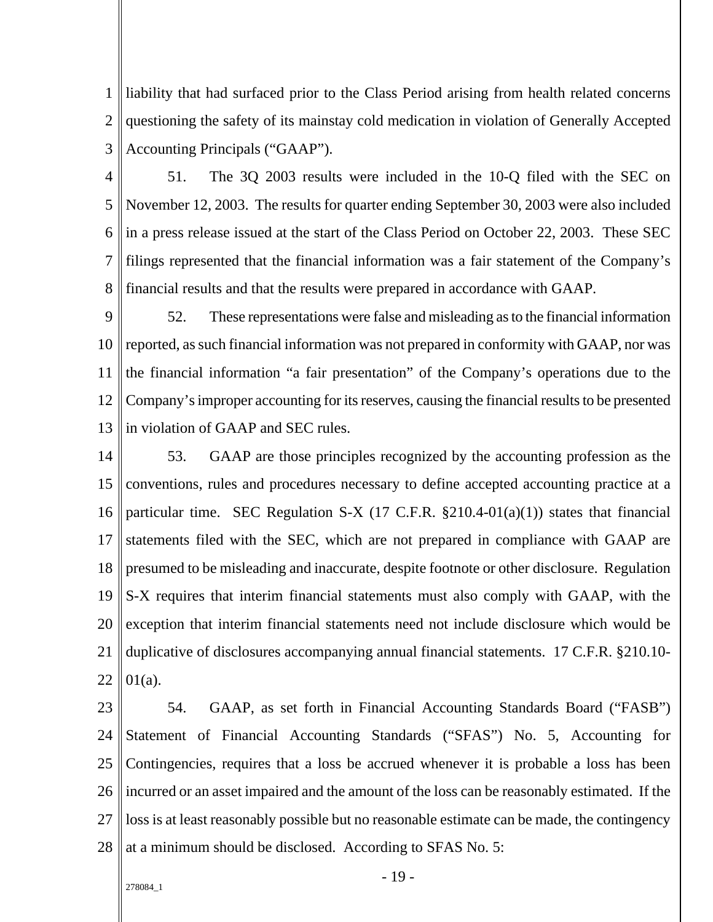1 2 3 liability that had surfaced prior to the Class Period arising from health related concerns questioning the safety of its mainstay cold medication in violation of Generally Accepted Accounting Principals ("GAAP").

4 5 6 7 8 51. The 3Q 2003 results were included in the 10-Q filed with the SEC on November 12, 2003. The results for quarter ending September 30, 2003 were also included in a press release issued at the start of the Class Period on October 22, 2003. These SEC filings represented that the financial information was a fair statement of the Company's financial results and that the results were prepared in accordance with GAAP.

 $\overline{Q}$ 10 11 12 13 52. These representations were false and misleading as to the financial information reported, as such financial information was not prepared in conformity with GAAP, nor was the financial information "a fair presentation" of the Company's operations due to the Company's improper accounting for its reserves, causing the financial results to be presented in violation of GAAP and SEC rules.

14 15 16 17 18 19 20 21 22 53. GAAP are those principles recognized by the accounting profession as the conventions, rules and procedures necessary to define accepted accounting practice at a particular time. SEC Regulation S-X (17 C.F.R. §210.4-01(a)(1)) states that financial statements filed with the SEC, which are not prepared in compliance with GAAP are presumed to be misleading and inaccurate, despite footnote or other disclosure. Regulation S-X requires that interim financial statements must also comply with GAAP, with the exception that interim financial statements need not include disclosure which would be duplicative of disclosures accompanying annual financial statements. 17 C.F.R. §210.10- 01(a).

 $23$ 24 25 26 27 28 54. GAAP, as set forth in Financial Accounting Standards Board ("FASB") Statement of Financial Accounting Standards ("SFAS") No. 5, Accounting for Contingencies, requires that a loss be accrued whenever it is probable a loss has been incurred or an asset impaired and the amount of the loss can be reasonably estimated. If the loss is at least reasonably possible but no reasonable estimate can be made, the contingency at a minimum should be disclosed. According to SFAS No. 5:

#### 278084\_1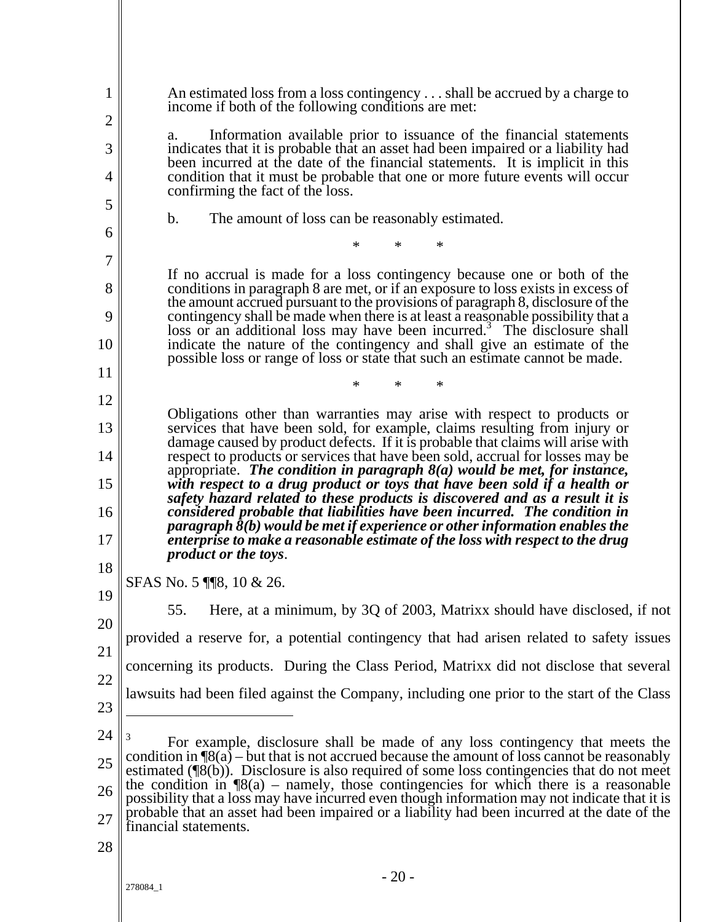| 1                   | An estimated loss from a loss contingency shall be accrued by a charge to<br>income if both of the following conditions are met:                                                                                                                                                                                                   |
|---------------------|------------------------------------------------------------------------------------------------------------------------------------------------------------------------------------------------------------------------------------------------------------------------------------------------------------------------------------|
| $\overline{c}$<br>3 | Information available prior to issuance of the financial statements<br>a.<br>indicates that it is probable that an asset had been impaired or a liability had<br>been incurred at the date of the financial statements. It is implicit in this                                                                                     |
| 4                   | condition that it must be probable that one or more future events will occur<br>confirming the fact of the loss.                                                                                                                                                                                                                   |
| 5                   | The amount of loss can be reasonably estimated.<br>$\mathbf b$ .                                                                                                                                                                                                                                                                   |
| 6                   | $\ast$<br>∗<br>∗                                                                                                                                                                                                                                                                                                                   |
| 7                   | If no accrual is made for a loss contingency because one or both of the                                                                                                                                                                                                                                                            |
| 8<br>9              | conditions in paragraph 8 are met, or if an exposure to loss exists in excess of<br>the amount accrued pursuant to the provisions of paragraph 8, disclosure of the                                                                                                                                                                |
| 10                  | contingency shall be made when there is at least a reasonable possibility that a loss or an additional loss may have been incurred. <sup>3</sup> The disclosure shall<br>indicate the nature of the contingency and shall give an estimate of the<br>possible loss or range of loss or state that such an estimate cannot be made. |
| 11                  | $\ast$<br>∗<br>∗                                                                                                                                                                                                                                                                                                                   |
| 12                  | Obligations other than warranties may arise with respect to products or                                                                                                                                                                                                                                                            |
| 13                  | services that have been sold, for example, claims resulting from injury or<br>damage caused by product defects. If it is probable that claims will arise with                                                                                                                                                                      |
| 14                  | respect to products or services that have been sold, accrual for losses may be<br>appropriate. The condition in paragraph $8(a)$ would be met, for instance,                                                                                                                                                                       |
| 15<br>16            | with respect to a drug product or toys that have been sold if a health or<br>safety hazard related to these products is discovered and as a result it is<br>considered probable that liabilities have been incurred. The condition in                                                                                              |
| 17                  | paragraph $\delta(b)$ would be met if experience or other information enables the<br>enterprise to make a reasonable estimate of the loss with respect to the drug<br><i>product or the toys.</i>                                                                                                                                  |
| 18                  | SFAS No. 5 118, 10 & 26.                                                                                                                                                                                                                                                                                                           |
| 19<br>20            | Here, at a minimum, by 3Q of 2003, Matrixx should have disclosed, if not<br>55.                                                                                                                                                                                                                                                    |
|                     | provided a reserve for, a potential contingency that had arisen related to safety issues                                                                                                                                                                                                                                           |
| 21                  | concerning its products. During the Class Period, Matrixx did not disclose that several                                                                                                                                                                                                                                            |
| 22                  | lawsuits had been filed against the Company, including one prior to the start of the Class                                                                                                                                                                                                                                         |
| 23                  |                                                                                                                                                                                                                                                                                                                                    |
| 24<br>25            | For example, disclosure shall be made of any loss contingency that meets the<br>condition in $\mathcal{B}(a)$ – but that is not accrued because the amount of loss cannot be reasonably                                                                                                                                            |
| 26                  | estimated $(\sqrt{\phantom{a}}(8(b))$ . Disclosure is also required of some loss contingencies that do not meet<br>the condition in $\mathcal{B}(a)$ – namely, those contingencies for which there is a reasonable<br>possibility that a loss may have incurred even though information may not indicate that it is                |
| 27                  | probable that an asset had been impaired or a liability had been incurred at the date of the<br>financial statements.                                                                                                                                                                                                              |
| 28                  |                                                                                                                                                                                                                                                                                                                                    |
|                     | $-20-$<br>278084_1                                                                                                                                                                                                                                                                                                                 |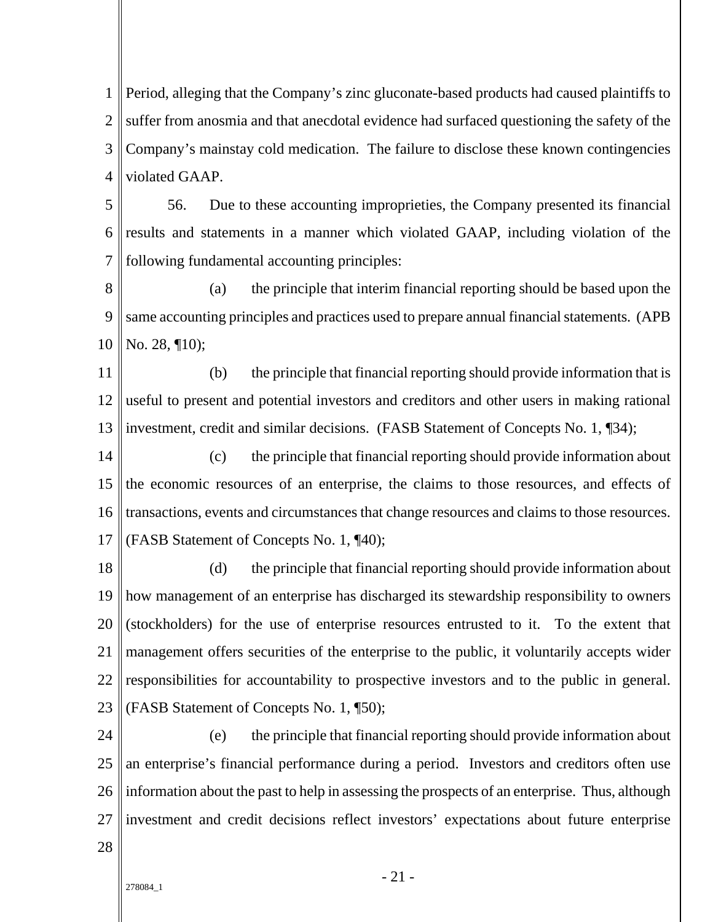1 2 3 4 Period, alleging that the Company's zinc gluconate-based products had caused plaintiffs to suffer from anosmia and that anecdotal evidence had surfaced questioning the safety of the Company's mainstay cold medication. The failure to disclose these known contingencies violated GAAP.

- 5 6 7 56. Due to these accounting improprieties, the Company presented its financial results and statements in a manner which violated GAAP, including violation of the following fundamental accounting principles:
- 8 9 10 (a) the principle that interim financial reporting should be based upon the same accounting principles and practices used to prepare annual financial statements. (APB No. 28, ¶10);
- 11 12 13 (b) the principle that financial reporting should provide information that is useful to present and potential investors and creditors and other users in making rational investment, credit and similar decisions. (FASB Statement of Concepts No. 1, ¶34);
- 14 15 16 17 (c) the principle that financial reporting should provide information about the economic resources of an enterprise, the claims to those resources, and effects of transactions, events and circumstances that change resources and claims to those resources. (FASB Statement of Concepts No. 1, ¶40);
- 18 19 20 21 22 23 (d) the principle that financial reporting should provide information about how management of an enterprise has discharged its stewardship responsibility to owners (stockholders) for the use of enterprise resources entrusted to it. To the extent that management offers securities of the enterprise to the public, it voluntarily accepts wider responsibilities for accountability to prospective investors and to the public in general. (FASB Statement of Concepts No. 1, ¶50);
- 24 25 26 27 (e) the principle that financial reporting should provide information about an enterprise's financial performance during a period. Investors and creditors often use information about the past to help in assessing the prospects of an enterprise. Thus, although investment and credit decisions reflect investors' expectations about future enterprise
- 28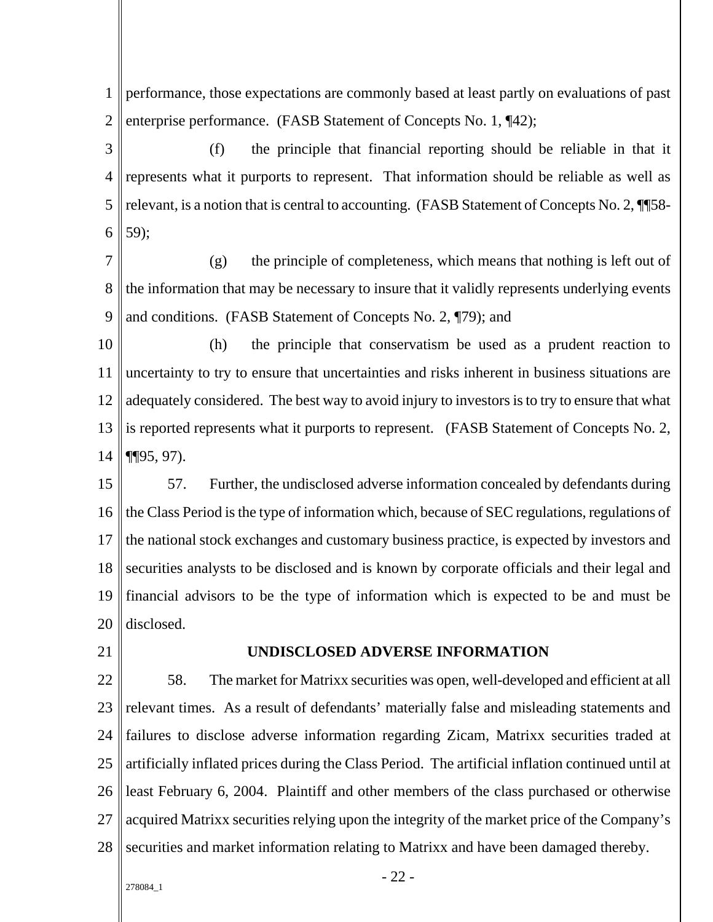1 2 performance, those expectations are commonly based at least partly on evaluations of past enterprise performance. (FASB Statement of Concepts No. 1, ¶42);

3 4 5 6 (f) the principle that financial reporting should be reliable in that it represents what it purports to represent. That information should be reliable as well as relevant, is a notion that is central to accounting. (FASB Statement of Concepts No. 2, \[\] 58-59);

7 8 9 (g) the principle of completeness, which means that nothing is left out of the information that may be necessary to insure that it validly represents underlying events and conditions. (FASB Statement of Concepts No. 2, ¶79); and

10 11 12 13 14 (h) the principle that conservatism be used as a prudent reaction to uncertainty to try to ensure that uncertainties and risks inherent in business situations are adequately considered. The best way to avoid injury to investors is to try to ensure that what is reported represents what it purports to represent. (FASB Statement of Concepts No. 2, ¶¶95, 97).

15 16 17 18 19 20 57. Further, the undisclosed adverse information concealed by defendants during the Class Period is the type of information which, because of SEC regulations, regulations of the national stock exchanges and customary business practice, is expected by investors and securities analysts to be disclosed and is known by corporate officials and their legal and financial advisors to be the type of information which is expected to be and must be disclosed.

21

#### **UNDISCLOSED ADVERSE INFORMATION**

22 23 24 25 26 27 28 58. The market for Matrixx securities was open, well-developed and efficient at all relevant times. As a result of defendants' materially false and misleading statements and failures to disclose adverse information regarding Zicam, Matrixx securities traded at artificially inflated prices during the Class Period. The artificial inflation continued until at least February 6, 2004. Plaintiff and other members of the class purchased or otherwise acquired Matrixx securities relying upon the integrity of the market price of the Company's securities and market information relating to Matrixx and have been damaged thereby.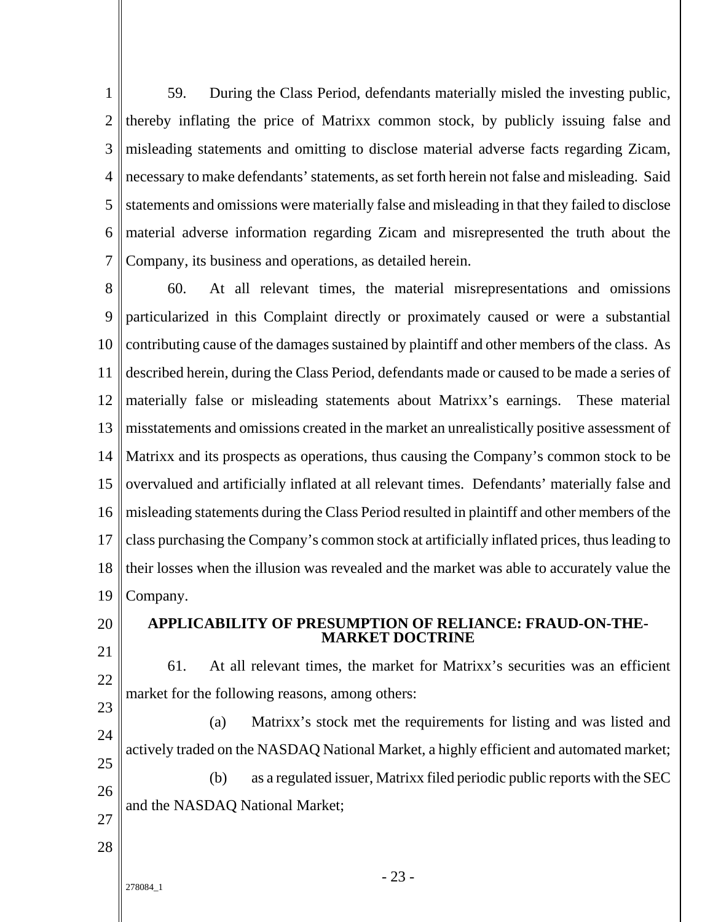1 2 3 4 5 6 7 59. During the Class Period, defendants materially misled the investing public, thereby inflating the price of Matrixx common stock, by publicly issuing false and misleading statements and omitting to disclose material adverse facts regarding Zicam, necessary to make defendants' statements, as set forth herein not false and misleading. Said statements and omissions were materially false and misleading in that they failed to disclose material adverse information regarding Zicam and misrepresented the truth about the Company, its business and operations, as detailed herein.

8 9 10 11 12 13 14 15 16 17 18 19 60. At all relevant times, the material misrepresentations and omissions particularized in this Complaint directly or proximately caused or were a substantial contributing cause of the damages sustained by plaintiff and other members of the class. As described herein, during the Class Period, defendants made or caused to be made a series of materially false or misleading statements about Matrixx's earnings. These material misstatements and omissions created in the market an unrealistically positive assessment of Matrixx and its prospects as operations, thus causing the Company's common stock to be overvalued and artificially inflated at all relevant times. Defendants' materially false and misleading statements during the Class Period resulted in plaintiff and other members of the class purchasing the Company's common stock at artificially inflated prices, thus leading to their losses when the illusion was revealed and the market was able to accurately value the Company.

20 21

23

# **APPLICABILITY OF PRESUMPTION OF RELIANCE: FRAUD-ON-THE-MARKET DOCTRINE**

22 61. At all relevant times, the market for Matrixx's securities was an efficient market for the following reasons, among others:

24 25 26 27 (a) Matrixx's stock met the requirements for listing and was listed and actively traded on the NASDAQ National Market, a highly efficient and automated market; (b) as a regulated issuer, Matrixx filed periodic public reports with the SEC and the NASDAQ National Market;

28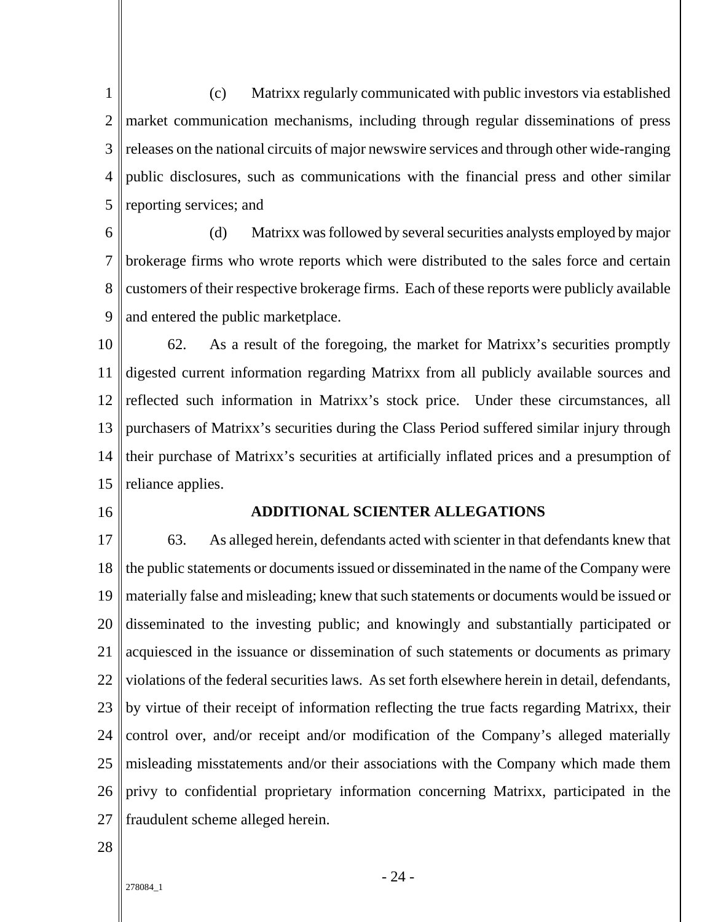1 2 3 4 5 (c) Matrixx regularly communicated with public investors via established market communication mechanisms, including through regular disseminations of press releases on the national circuits of major newswire services and through other wide-ranging public disclosures, such as communications with the financial press and other similar reporting services; and

6 7 8  $\overline{Q}$ (d) Matrixx was followed by several securities analysts employed by major brokerage firms who wrote reports which were distributed to the sales force and certain customers of their respective brokerage firms. Each of these reports were publicly available and entered the public marketplace.

10 11 12 13 14 15 62. As a result of the foregoing, the market for Matrixx's securities promptly digested current information regarding Matrixx from all publicly available sources and reflected such information in Matrixx's stock price. Under these circumstances, all purchasers of Matrixx's securities during the Class Period suffered similar injury through their purchase of Matrixx's securities at artificially inflated prices and a presumption of reliance applies.

16

### **ADDITIONAL SCIENTER ALLEGATIONS**

17 18 19 20 21 22 23 24 25 26 27 63. As alleged herein, defendants acted with scienter in that defendants knew that the public statements or documents issued or disseminated in the name of the Company were materially false and misleading; knew that such statements or documents would be issued or disseminated to the investing public; and knowingly and substantially participated or acquiesced in the issuance or dissemination of such statements or documents as primary violations of the federal securities laws. As set forth elsewhere herein in detail, defendants, by virtue of their receipt of information reflecting the true facts regarding Matrixx, their control over, and/or receipt and/or modification of the Company's alleged materially misleading misstatements and/or their associations with the Company which made them privy to confidential proprietary information concerning Matrixx, participated in the fraudulent scheme alleged herein.

28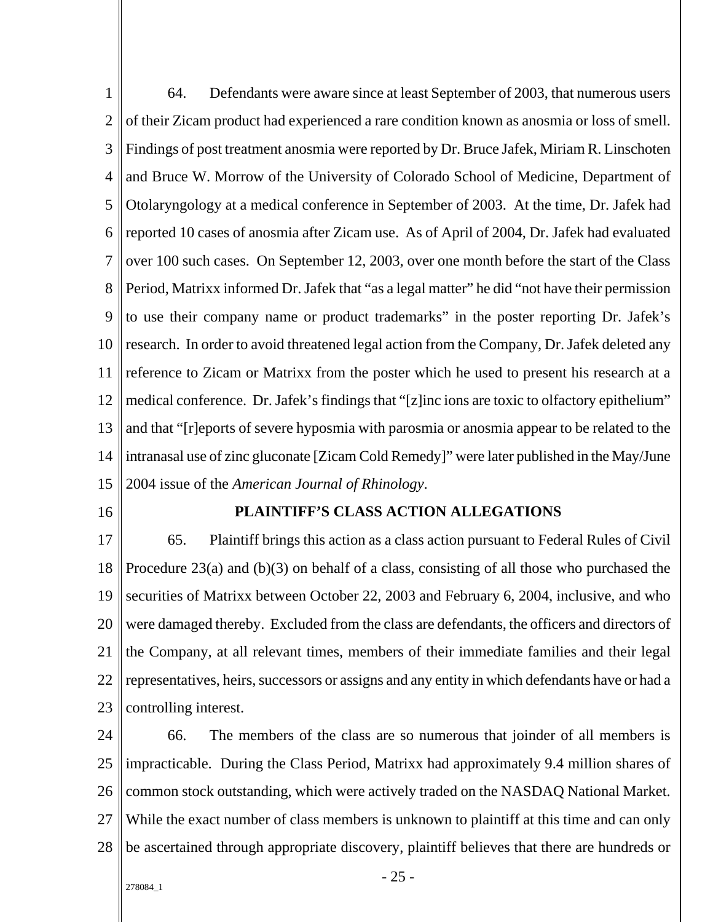1 2 3 4 5 6 7 8 9 10 11 12 13 14 15 64. Defendants were aware since at least September of 2003, that numerous users of their Zicam product had experienced a rare condition known as anosmia or loss of smell. Findings of post treatment anosmia were reported by Dr. Bruce Jafek, Miriam R. Linschoten and Bruce W. Morrow of the University of Colorado School of Medicine, Department of Otolaryngology at a medical conference in September of 2003. At the time, Dr. Jafek had reported 10 cases of anosmia after Zicam use. As of April of 2004, Dr. Jafek had evaluated over 100 such cases. On September 12, 2003, over one month before the start of the Class Period, Matrixx informed Dr. Jafek that "as a legal matter" he did "not have their permission to use their company name or product trademarks" in the poster reporting Dr. Jafek's research. In order to avoid threatened legal action from the Company, Dr. Jafek deleted any reference to Zicam or Matrixx from the poster which he used to present his research at a medical conference. Dr. Jafek's findings that "[z]inc ions are toxic to olfactory epithelium" and that "[r]eports of severe hyposmia with parosmia or anosmia appear to be related to the intranasal use of zinc gluconate [Zicam Cold Remedy]" were later published in the May/June 2004 issue of the *American Journal of Rhinology*.

16

# **PLAINTIFF'S CLASS ACTION ALLEGATIONS**

17 18 19 20 21 22 23 65. Plaintiff brings this action as a class action pursuant to Federal Rules of Civil Procedure 23(a) and (b)(3) on behalf of a class, consisting of all those who purchased the securities of Matrixx between October 22, 2003 and February 6, 2004, inclusive, and who were damaged thereby. Excluded from the class are defendants, the officers and directors of the Company, at all relevant times, members of their immediate families and their legal representatives, heirs, successors or assigns and any entity in which defendants have or had a controlling interest.

24 25 26 27 28 66. The members of the class are so numerous that joinder of all members is impracticable. During the Class Period, Matrixx had approximately 9.4 million shares of common stock outstanding, which were actively traded on the NASDAQ National Market. While the exact number of class members is unknown to plaint if at this time and can only be ascertained through appropriate discovery, plaintiff believes that there are hundreds or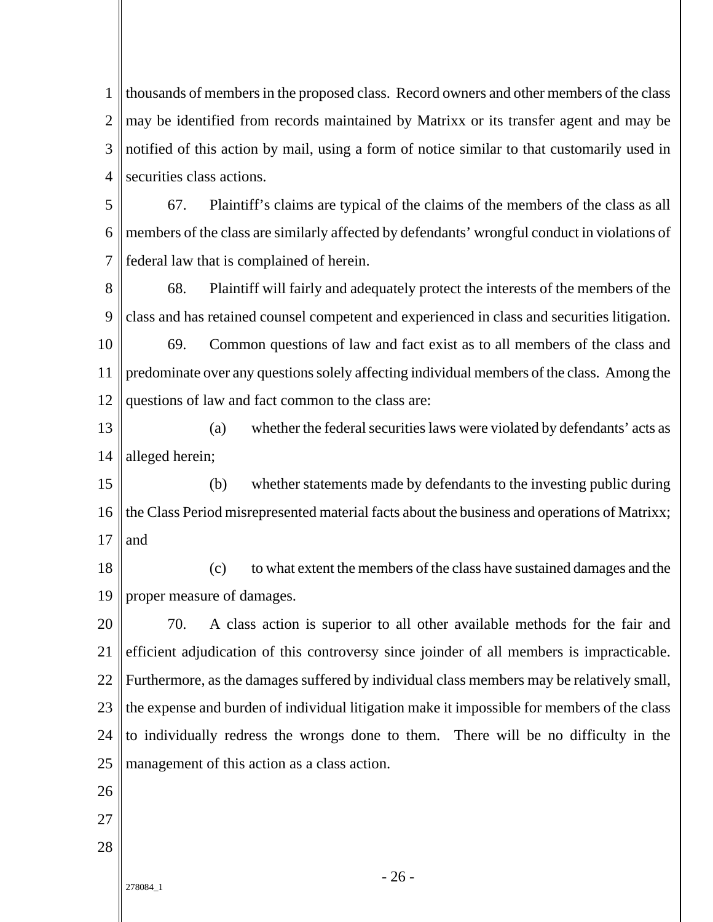1 2 3 4 thousands of members in the proposed class. Record owners and other members of the class may be identified from records maintained by Matrixx or its transfer agent and may be notified of this action by mail, using a form of notice similar to that customarily used in securities class actions.

5 6 7 67. Plaintiff's claims are typical of the claims of the members of the class as all members of the class are similarly affected by defendants' wrongful conduct in violations of federal law that is complained of herein.

8 9 10 11 12 68. Plaintiff will fairly and adequately protect the interests of the members of the class and has retained counsel competent and experienced in class and securities litigation. 69. Common questions of law and fact exist as to all members of the class and predominate over any questions solely affecting individual members of the class. Among the questions of law and fact common to the class are:

13 14 (a) whether the federal securities laws were violated by defendants' acts as alleged herein;

15 16 17 (b) whether statements made by defendants to the investing public during the Class Period misrepresented material facts about the business and operations of Matrixx; and

18 19 (c) to what extent the members of the class have sustained damages and the proper measure of damages.

20 21 22 23 24 25 70. A class action is superior to all other available methods for the fair and efficient adjudication of this controversy since joinder of all members is impracticable. Furthermore, as the damages suffered by individual class members may be relatively small, the expense and burden of individual litigation make it impossible for members of the class to individually redress the wrongs done to them. There will be no difficulty in the management of this action as a class action.

- 26
- 27
- 28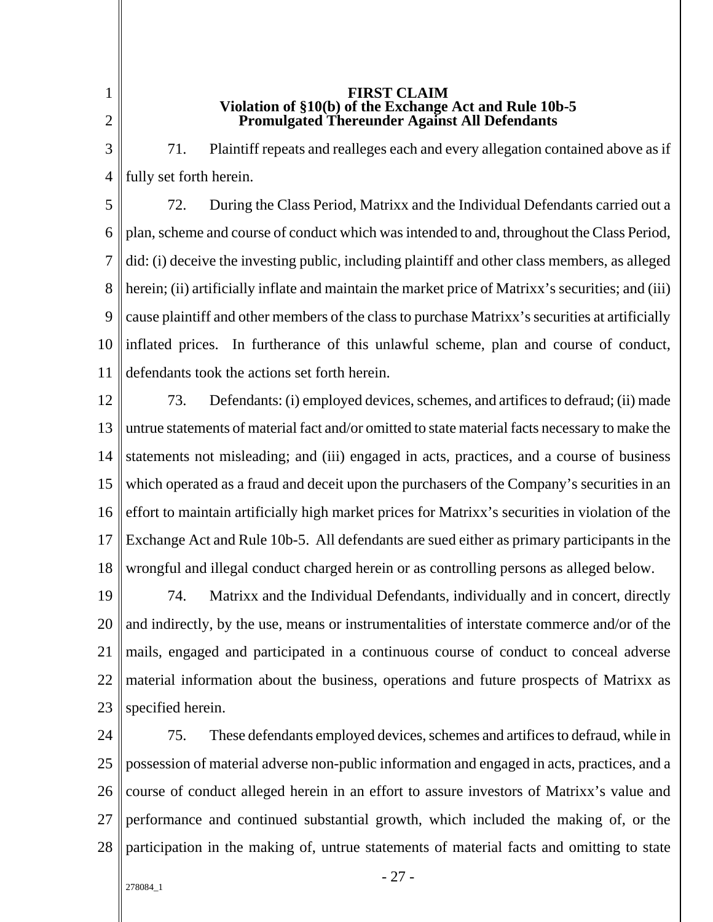1 2

#### **FIRST CLAIM Violation of §10(b) of the Exchange Act and Rule 10b-5 Promulgated Thereunder Against All Defendants**

3 4 71. Plaintiff repeats and realleges each and every allegation contained above as if fully set forth herein.

5 6 7 8 9 10 11 72. During the Class Period, Matrixx and the Individual Defendants carried out a plan, scheme and course of conduct which was intended to and, throughout the Class Period, did: (i) deceive the investing public, including plaintiff and other class members, as alleged herein; (ii) artificially inflate and maintain the market price of Matrixx's securities; and (iii) cause plaintiff and other members of the class to purchase Matrixx's securities at artificially inflated prices. In furtherance of this unlawful scheme, plan and course of conduct, defendants took the actions set forth herein.

12 13 14 15 16 17 18 73. Defendants: (i) employed devices, schemes, and artifices to defraud; (ii) made untrue statements of material fact and/or omitted to state material facts necessary to make the statements not misleading; and (iii) engaged in acts, practices, and a course of business which operated as a fraud and deceit upon the purchasers of the Company's securities in an effort to maintain artificially high market prices for Matrixx's securities in violation of the Exchange Act and Rule 10b-5. All defendants are sued either as primary participants in the wrongful and illegal conduct charged herein or as controlling persons as alleged below.

19 20 21 22 23 74. Matrixx and the Individual Defendants, individually and in concert, directly and indirectly, by the use, means or instrumentalities of interstate commerce and/or of the mails, engaged and participated in a continuous course of conduct to conceal adverse material information about the business, operations and future prospects of Matrixx as specified herein.

24 25 26 27 28 75. These defendants employed devices, schemes and artifices to defraud, while in possession of material adverse non-public information and engaged in acts, practices, and a course of conduct alleged herein in an effort to assure investors of Matrixx's value and performance and continued substantial growth, which included the making of, or the participation in the making of, untrue statements of material facts and omitting to state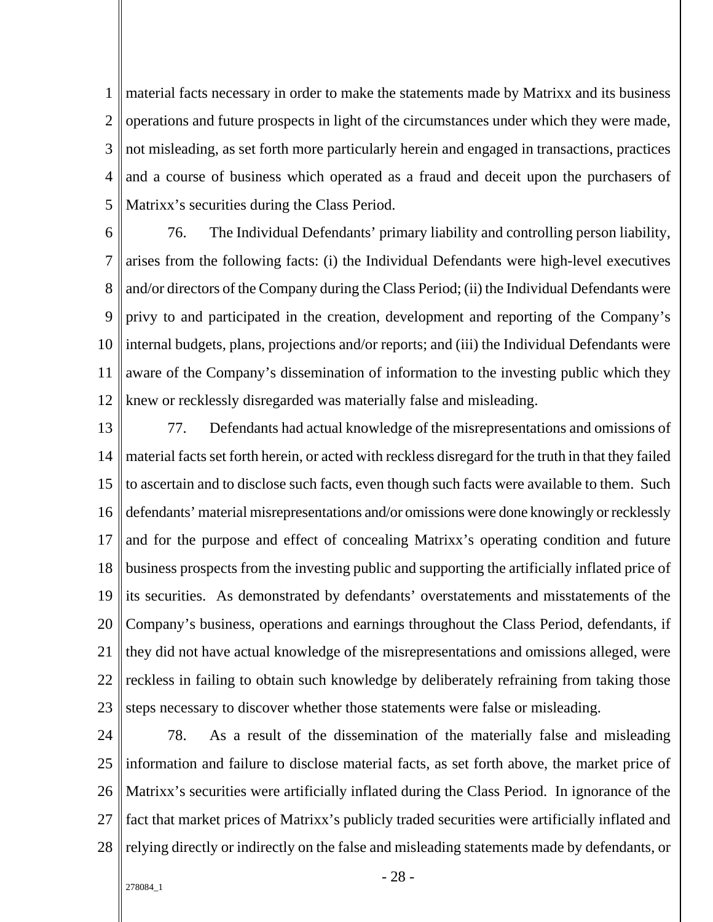1 2 3 4 5 material facts necessary in order to make the statements made by Matrixx and its business operations and future prospects in light of the circumstances under which they were made, not misleading, as set forth more particularly herein and engaged in transactions, practices and a course of business which operated as a fraud and deceit upon the purchasers of Matrixx's securities during the Class Period.

6 7 8 9 10 11 12 76. The Individual Defendants' primary liability and controlling person liability, arises from the following facts: (i) the Individual Defendants were high-level executives and/or directors of the Company during the Class Period; (ii) the Individual Defendants were privy to and participated in the creation, development and reporting of the Company's internal budgets, plans, projections and/or reports; and (iii) the Individual Defendants were aware of the Company's dissemination of information to the investing public which they knew or recklessly disregarded was materially false and misleading.

- 13 14 15 16 17 18 19 20 21 22 23 77. Defendants had actual knowledge of the misrepresentations and omissions of material facts set forth herein, or acted with reckless disregard for the truth in that they failed to ascertain and to disclose such facts, even though such facts were available to them. Such defendants' material misrepresentations and/or omissions were done knowingly or recklessly and for the purpose and effect of concealing Matrixx's operating condition and future business prospects from the investing public and supporting the artificially inflated price of its securities. As demonstrated by defendants' overstatements and misstatements of the Company's business, operations and earnings throughout the Class Period, defendants, if they did not have actual knowledge of the misrepresentations and omissions alleged, were reckless in failing to obtain such knowledge by deliberately refraining from taking those steps necessary to discover whether those statements were false or misleading.
- 24 25 26 27 28 78. As a result of the dissemination of the materially false and misleading information and failure to disclose material facts, as set forth above, the market price of Matrixx's securities were artificially inflated during the Class Period. In ignorance of the fact that market prices of Matrixx's publicly traded securities were artificially inflated and relying directly or indirectly on the false and misleading statements made by defendants, or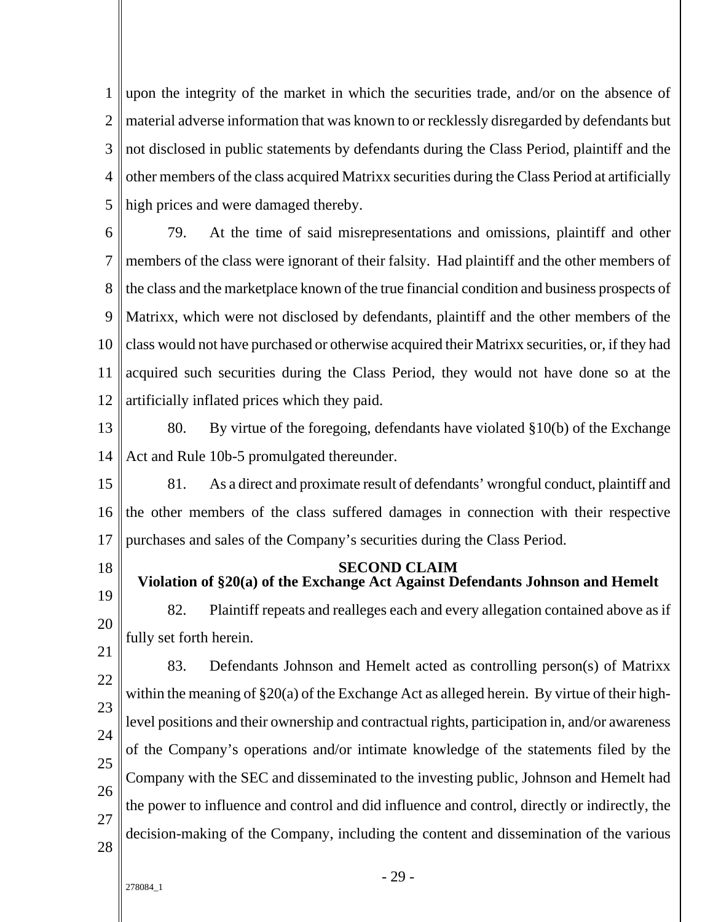1 2 3 4 5 upon the integrity of the market in which the securities trade, and/or on the absence of material adverse information that was known to or recklessly disregarded by defendants but not disclosed in public statements by defendants during the Class Period, plaintiff and the other members of the class acquired Matrixx securities during the Class Period at artificially high prices and were damaged thereby.

6 7 8  $\mathbf Q$ 10 11 12 79. At the time of said misrepresentations and omissions, plaintiff and other members of the class were ignorant of their falsity. Had plaintiff and the other members of the class and the marketplace known of the true financial condition and business prospects of Matrixx, which were not disclosed by defendants, plaintiff and the other members of the class would not have purchased or otherwise acquired their Matrixx securities, or, if they had acquired such securities during the Class Period, they would not have done so at the artificially inflated prices which they paid.

13 14 80. By virtue of the foregoing, defendants have violated §10(b) of the Exchange Act and Rule 10b-5 promulgated thereunder.

15 16 17 81. As a direct and proximate result of defendants' wrongful conduct, plaintiff and the other members of the class suffered damages in connection with their respective purchases and sales of the Company's securities during the Class Period.

18

#### **SECOND CLAIM Violation of §20(a) of the Exchange Act Against Defendants Johnson and Hemelt**

19 20 21 82. Plaintiff repeats and realleges each and every allegation contained above as if fully set forth herein.

22  $23$  $24$ 25 26 27 28 83. Defendants Johnson and Hemelt acted as controlling person(s) of Matrixx within the meaning of §20(a) of the Exchange Act as alleged herein. By virtue of their highlevel positions and their ownership and contractual rights, participation in, and/or awareness of the Company's operations and/or intimate knowledge of the statements filed by the Company with the SEC and disseminated to the investing public, Johnson and Hemelt had the power to influence and control and did influence and control, directly or indirectly, the decision-making of the Company, including the content and dissemination of the various

278084\_1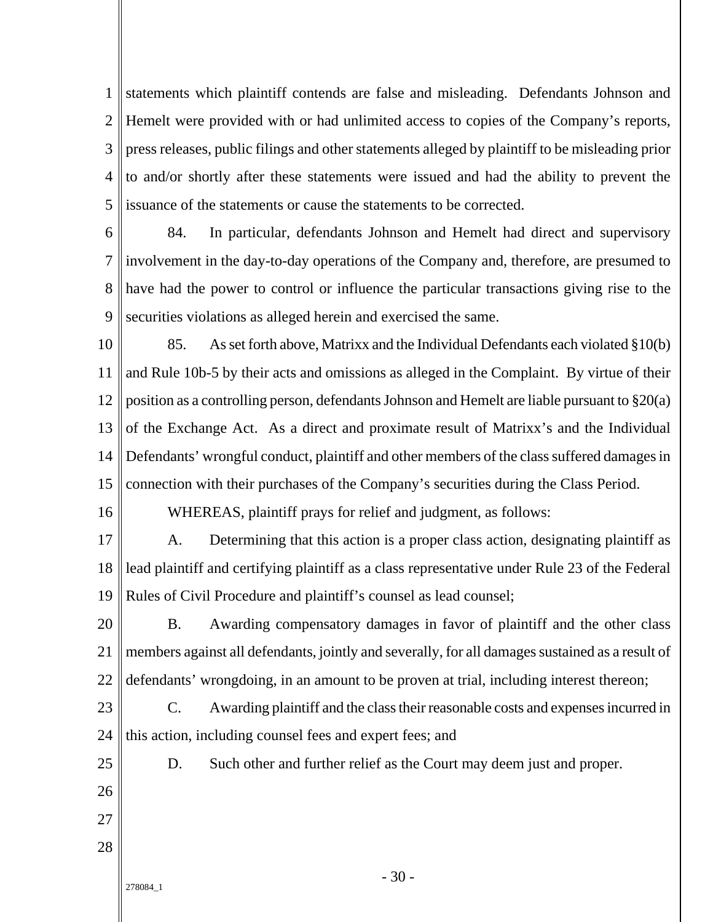1 2 3 4 5 statements which plaintiff contends are false and misleading. Defendants Johnson and Hemelt were provided with or had unlimited access to copies of the Company's reports, press releases, public filings and other statements alleged by plaintiff to be misleading prior to and/or shortly after these statements were issued and had the ability to prevent the issuance of the statements or cause the statements to be corrected.

6 7 8 9 84. In particular, defendants Johnson and Hemelt had direct and supervisory involvement in the day-to-day operations of the Company and, therefore, are presumed to have had the power to control or influence the particular transactions giving rise to the securities violations as alleged herein and exercised the same.

10 11 12 13 14 15 85. As set forth above, Matrixx and the Individual Defendants each violated §10(b) and Rule 10b-5 by their acts and omissions as alleged in the Complaint. By virtue of their position as a controlling person, defendants Johnson and Hemelt are liable pursuant to §20(a) of the Exchange Act. As a direct and proximate result of Matrixx's and the Individual Defendants' wrongful conduct, plaintiff and other members of the class suffered damages in connection with their purchases of the Company's securities during the Class Period.

- WHEREAS, plaintiff prays for relief and judgment, as follows:
- 17 18 19 A. Determining that this action is a proper class action, designating plaintiff as lead plaintiff and certifying plaintiff as a class representative under Rule 23 of the Federal Rules of Civil Procedure and plaintiff's counsel as lead counsel;
- 20 21 22 B. Awarding compensatory damages in favor of plaintiff and the other class members against all defendants, jointly and severally, for all damages sustained as a result of defendants' wrongdoing, in an amount to be proven at trial, including interest thereon;
- $23$ 24 C. Awarding plaintiff and the class their reasonable costs and expenses incurred in this action, including counsel fees and expert fees; and

D. Such other and further relief as the Court may deem just and proper.

25 26

16

- 27
- 28
- 278084\_1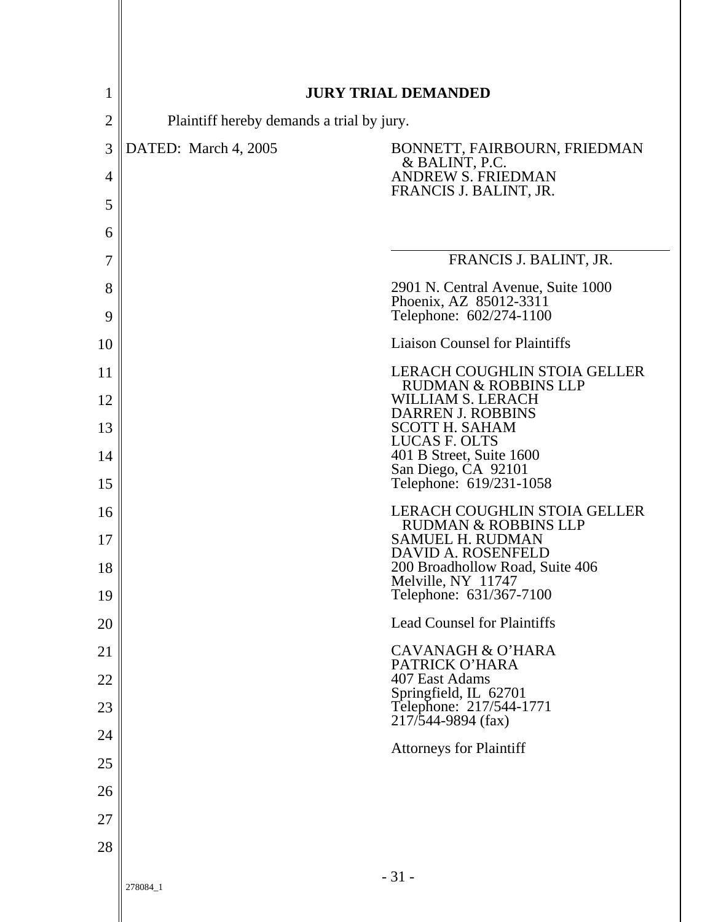| 1              |                                                                                                   | <b>JURY TRIAL DEMANDED</b>                                             |  |
|----------------|---------------------------------------------------------------------------------------------------|------------------------------------------------------------------------|--|
| $\overline{2}$ |                                                                                                   |                                                                        |  |
| 3              | Plaintiff hereby demands a trial by jury.<br>DATED: March 4, 2005<br>BONNETT, FAIRBOURN, FRIEDMAN |                                                                        |  |
| 4              |                                                                                                   | & BALINT, P.C.<br><b>ANDREW S. FRIEDMAN</b>                            |  |
| 5              |                                                                                                   | FRANCIS J. BALINT, JR.                                                 |  |
| 6              |                                                                                                   |                                                                        |  |
| 7              |                                                                                                   | FRANCIS J. BALINT, JR.                                                 |  |
| 8              |                                                                                                   | 2901 N. Central Avenue, Suite 1000                                     |  |
| 9              |                                                                                                   | Phoenix, AZ 85012-3311<br>Telephone: 602/274-1100                      |  |
| 10             |                                                                                                   | <b>Liaison Counsel for Plaintiffs</b>                                  |  |
| 11             |                                                                                                   | LERACH COUGHLIN STOIA GELLER<br><b>RUDMAN &amp; ROBBINS LLP</b>        |  |
| 12             |                                                                                                   | <b>WILLIAM S. LERACH</b><br><b>DARREN J. ROBBINS</b>                   |  |
| 13             |                                                                                                   | <b>SCOTT H. SAHAM</b><br>LUCAS F. OLTS                                 |  |
| 14             |                                                                                                   | 401 B Street, Suite 1600<br>San Diego, CA 92101                        |  |
| 15             |                                                                                                   | Telephone: 619/231-1058                                                |  |
| 16             |                                                                                                   | <b>LERACH COUGHLIN STOIA GELLER</b><br><b>RUDMAN &amp; ROBBINS LLP</b> |  |
| 17             |                                                                                                   | <b>SAMUEL H. RUDMAN</b><br>DAVID A. ROSENFELD                          |  |
| 18             |                                                                                                   | 200 Broadhollow Road, Suite 406<br>Melville, NY 11747                  |  |
| 19             |                                                                                                   | Telephone: 631/367-7100                                                |  |
| 20             |                                                                                                   | <b>Lead Counsel for Plaintiffs</b>                                     |  |
| 21             |                                                                                                   | <b>CAVANAGH &amp; O'HARA</b><br>PATRICK O'HARA                         |  |
| 22             |                                                                                                   | 407 East Adams<br>Springfield, IL 62701                                |  |
| 23             |                                                                                                   | Telephone: 217/544-1771<br>$217/544 - 9894$ (fax)                      |  |
| 24             |                                                                                                   | <b>Attorneys for Plaintiff</b>                                         |  |
| 25             |                                                                                                   |                                                                        |  |
| 26             |                                                                                                   |                                                                        |  |
| 27             |                                                                                                   |                                                                        |  |
| 28             |                                                                                                   |                                                                        |  |
|                | 278084_1                                                                                          | $-31-$                                                                 |  |